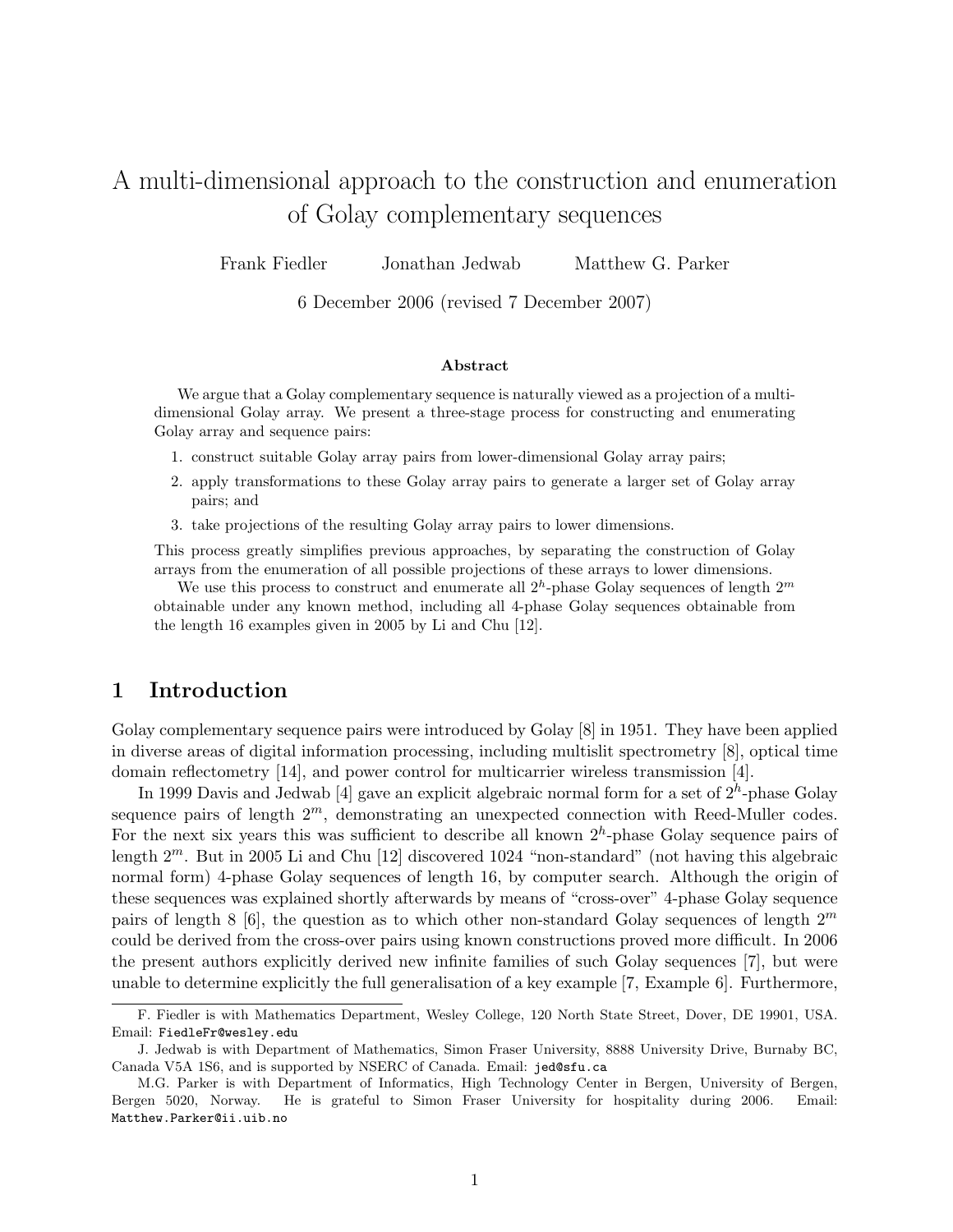# A multi-dimensional approach to the construction and enumeration of Golay complementary sequences

Frank Fiedler Jonathan Jedwab Matthew G. Parker

6 December 2006 (revised 7 December 2007)

#### Abstract

We argue that a Golay complementary sequence is naturally viewed as a projection of a multidimensional Golay array. We present a three-stage process for constructing and enumerating Golay array and sequence pairs:

- 1. construct suitable Golay array pairs from lower-dimensional Golay array pairs;
- 2. apply transformations to these Golay array pairs to generate a larger set of Golay array pairs; and
- 3. take projections of the resulting Golay array pairs to lower dimensions.

This process greatly simplifies previous approaches, by separating the construction of Golay arrays from the enumeration of all possible projections of these arrays to lower dimensions.

We use this process to construct and enumerate all  $2<sup>h</sup>$ -phase Golay sequences of length  $2<sup>m</sup>$ obtainable under any known method, including all 4-phase Golay sequences obtainable from the length 16 examples given in 2005 by Li and Chu [12].

#### 1 Introduction

Golay complementary sequence pairs were introduced by Golay [8] in 1951. They have been applied in diverse areas of digital information processing, including multislit spectrometry [8], optical time domain reflectometry [14], and power control for multicarrier wireless transmission [4].

In 1999 Davis and Jedwab [4] gave an explicit algebraic normal form for a set of  $2<sup>h</sup>$ -phase Golay sequence pairs of length  $2^m$ , demonstrating an unexpected connection with Reed-Muller codes. For the next six years this was sufficient to describe all known  $2<sup>h</sup>$ -phase Golay sequence pairs of length  $2^m$ . But in 2005 Li and Chu [12] discovered 1024 "non-standard" (not having this algebraic normal form) 4-phase Golay sequences of length 16, by computer search. Although the origin of these sequences was explained shortly afterwards by means of "cross-over" 4-phase Golay sequence pairs of length 8 [6], the question as to which other non-standard Golay sequences of length  $2^m$ could be derived from the cross-over pairs using known constructions proved more difficult. In 2006 the present authors explicitly derived new infinite families of such Golay sequences [7], but were unable to determine explicitly the full generalisation of a key example [7, Example 6]. Furthermore,

F. Fiedler is with Mathematics Department, Wesley College, 120 North State Street, Dover, DE 19901, USA. Email: FiedleFr@wesley.edu

J. Jedwab is with Department of Mathematics, Simon Fraser University, 8888 University Drive, Burnaby BC, Canada V5A 1S6, and is supported by NSERC of Canada. Email: jed@sfu.ca

M.G. Parker is with Department of Informatics, High Technology Center in Bergen, University of Bergen, Bergen 5020, Norway. He is grateful to Simon Fraser University for hospitality during 2006. Matthew.Parker@ii.uib.no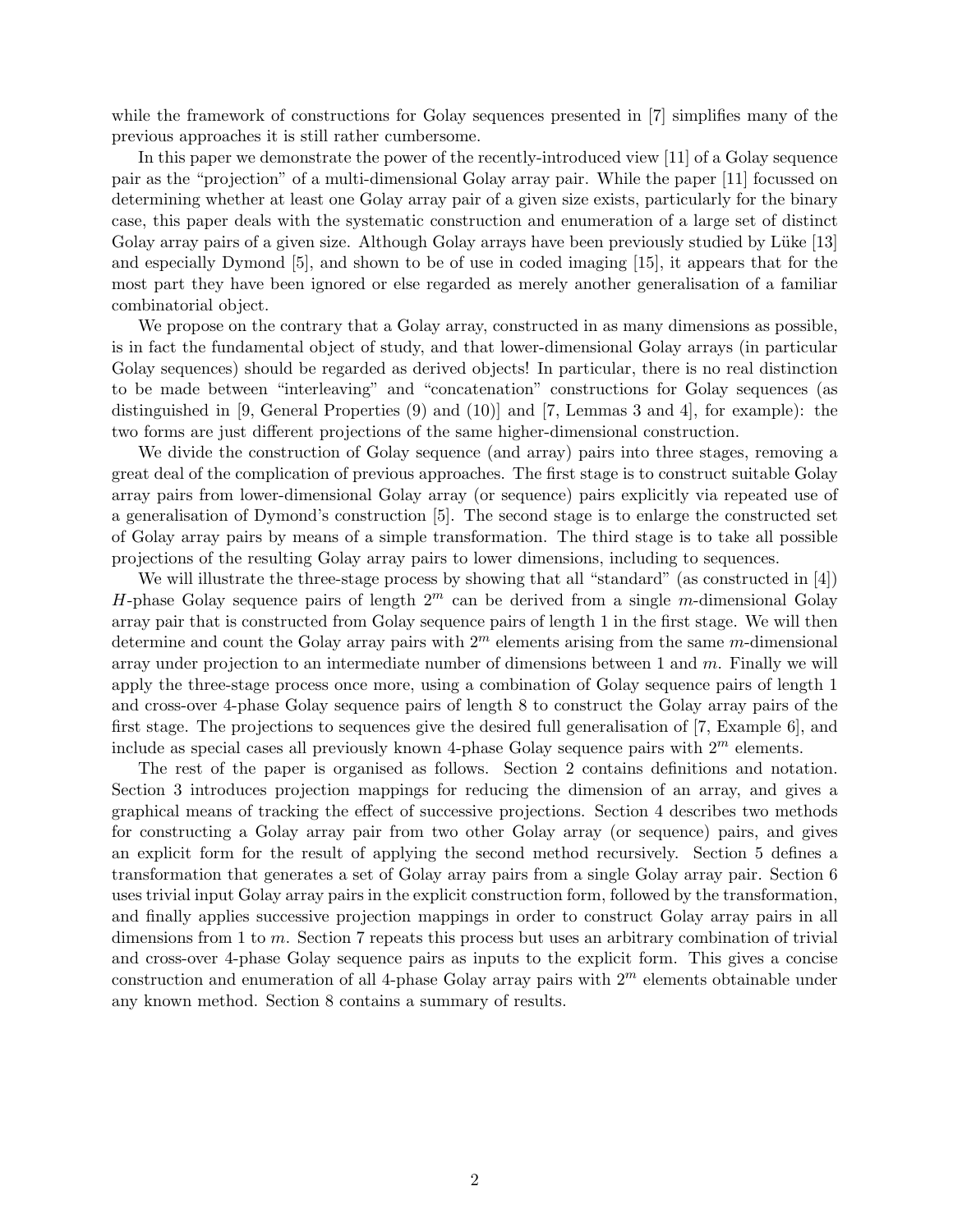while the framework of constructions for Golay sequences presented in [7] simplifies many of the previous approaches it is still rather cumbersome.

In this paper we demonstrate the power of the recently-introduced view [11] of a Golay sequence pair as the "projection" of a multi-dimensional Golay array pair. While the paper [11] focussed on determining whether at least one Golay array pair of a given size exists, particularly for the binary case, this paper deals with the systematic construction and enumeration of a large set of distinct Golay array pairs of a given size. Although Golay arrays have been previously studied by Lüke [13] and especially Dymond [5], and shown to be of use in coded imaging [15], it appears that for the most part they have been ignored or else regarded as merely another generalisation of a familiar combinatorial object.

We propose on the contrary that a Golay array, constructed in as many dimensions as possible, is in fact the fundamental object of study, and that lower-dimensional Golay arrays (in particular Golay sequences) should be regarded as derived objects! In particular, there is no real distinction to be made between "interleaving" and "concatenation" constructions for Golay sequences (as distinguished in [9, General Properties (9) and (10)] and [7, Lemmas 3 and 4], for example): the two forms are just different projections of the same higher-dimensional construction.

We divide the construction of Golay sequence (and array) pairs into three stages, removing a great deal of the complication of previous approaches. The first stage is to construct suitable Golay array pairs from lower-dimensional Golay array (or sequence) pairs explicitly via repeated use of a generalisation of Dymond's construction [5]. The second stage is to enlarge the constructed set of Golay array pairs by means of a simple transformation. The third stage is to take all possible projections of the resulting Golay array pairs to lower dimensions, including to sequences.

We will illustrate the three-stage process by showing that all "standard" (as constructed in [4]) H-phase Golay sequence pairs of length  $2^m$  can be derived from a single m-dimensional Golay array pair that is constructed from Golay sequence pairs of length 1 in the first stage. We will then determine and count the Golay array pairs with  $2<sup>m</sup>$  elements arising from the same m-dimensional array under projection to an intermediate number of dimensions between 1 and m. Finally we will apply the three-stage process once more, using a combination of Golay sequence pairs of length 1 and cross-over 4-phase Golay sequence pairs of length 8 to construct the Golay array pairs of the first stage. The projections to sequences give the desired full generalisation of [7, Example 6], and include as special cases all previously known 4-phase Golay sequence pairs with  $2<sup>m</sup>$  elements.

The rest of the paper is organised as follows. Section 2 contains definitions and notation. Section 3 introduces projection mappings for reducing the dimension of an array, and gives a graphical means of tracking the effect of successive projections. Section 4 describes two methods for constructing a Golay array pair from two other Golay array (or sequence) pairs, and gives an explicit form for the result of applying the second method recursively. Section 5 defines a transformation that generates a set of Golay array pairs from a single Golay array pair. Section 6 uses trivial input Golay array pairs in the explicit construction form, followed by the transformation, and finally applies successive projection mappings in order to construct Golay array pairs in all dimensions from 1 to  $m$ . Section 7 repeats this process but uses an arbitrary combination of trivial and cross-over 4-phase Golay sequence pairs as inputs to the explicit form. This gives a concise construction and enumeration of all 4-phase Golay array pairs with  $2<sup>m</sup>$  elements obtainable under any known method. Section 8 contains a summary of results.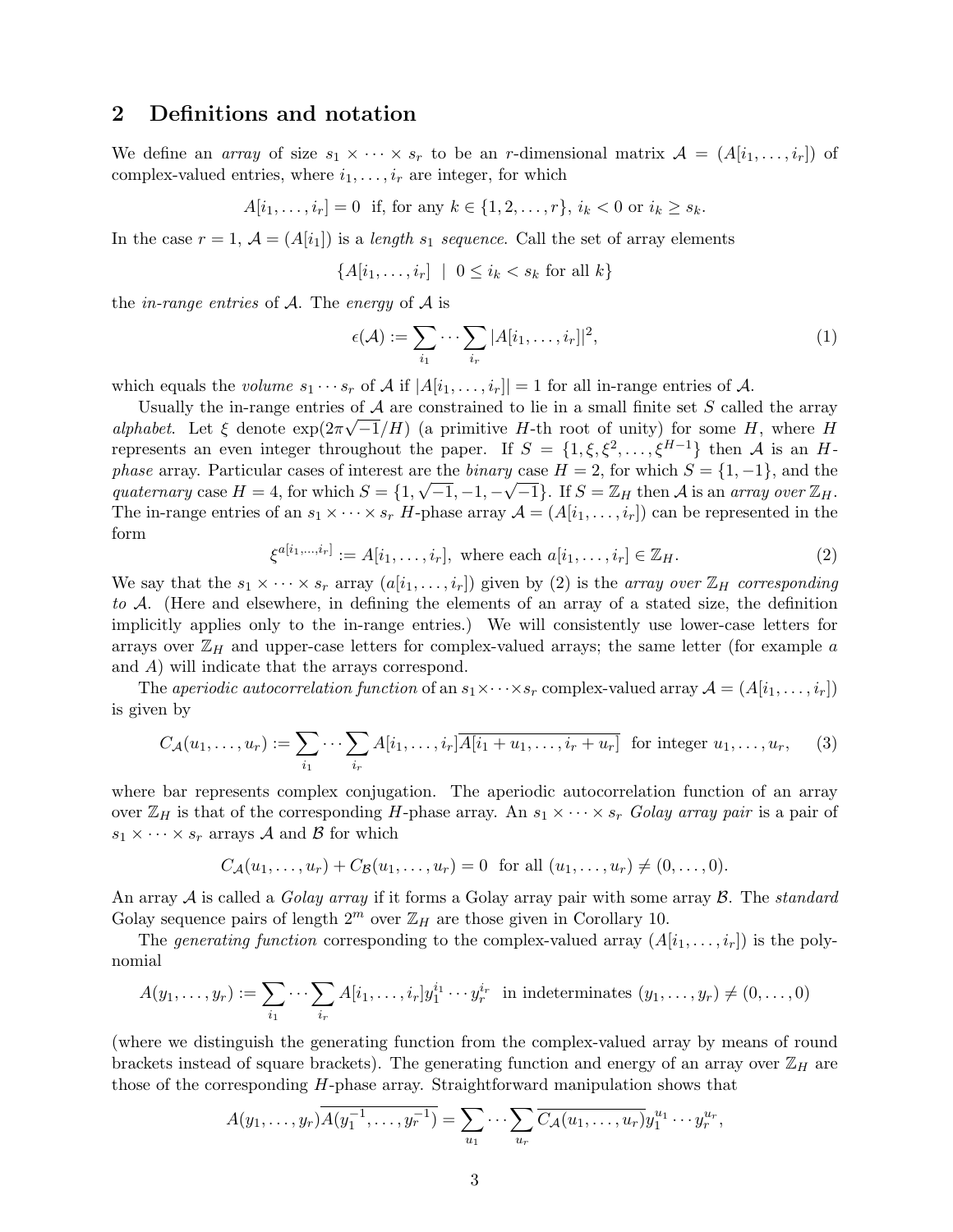#### 2 Definitions and notation

We define an array of size  $s_1 \times \cdots \times s_r$  to be an r-dimensional matrix  $\mathcal{A} = (A[i_1, \ldots, i_r])$  of complex-valued entries, where  $i_1, \ldots, i_r$  are integer, for which

$$
A[i_1, ..., i_r] = 0
$$
 if, for any  $k \in \{1, 2, ..., r\}$ ,  $i_k < 0$  or  $i_k \ge s_k$ .

In the case  $r = 1$ ,  $\mathcal{A} = (A[i_1])$  is a length  $s_1$  sequence. Call the set of array elements

$$
\{A[i_1,\ldots,i_r] \mid 0 \le i_k < s_k \text{ for all } k\}
$$

the *in-range entries* of  $A$ . The *energy* of  $A$  is

$$
\epsilon(\mathcal{A}) := \sum_{i_1} \cdots \sum_{i_r} |A[i_1, \ldots, i_r]|^2,
$$
 (1)

which equals the volume  $s_1 \cdots s_r$  of A if  $|A[i_1, \ldots, i_r]| = 1$  for all in-range entries of A.

Usually the in-range entries of A are constrained to lie in a small finite set S called the array alphabet. Let  $\xi$  denote  $\exp(2\pi\sqrt{-1}/H)$  (a primitive H-th root of unity) for some H, where H represents an even integer throughout the paper. If  $S = \{1, \xi, \xi^2, \dots, \xi^{H-1}\}\$  then A is an Hphase array. Particular cases of interest are the *binary* case  $H = 2$ , for which  $S = \{1, -1\}$ , and the quaternary case  $H = 4$ , for which  $S = \{1, \sqrt{-1}, -1, -\sqrt{-1}\}$ . If  $S = \mathbb{Z}_H$  then A is an array over  $\mathbb{Z}_H$ . The in-range entries of an  $s_1 \times \cdots \times s_r$  H-phase array  $\mathcal{A} = (A[i_1, \ldots, i_r])$  can be represented in the form

$$
\xi^{a[i_1,...,i_r]} := A[i_1,...,i_r], \text{ where each } a[i_1,...,i_r] \in \mathbb{Z}_H. \tag{2}
$$

We say that the  $s_1 \times \cdots \times s_r$  array  $(a[i_1, \ldots, i_r])$  given by (2) is the array over  $\mathbb{Z}_H$  corresponding to A. (Here and elsewhere, in defining the elements of an array of a stated size, the definition implicitly applies only to the in-range entries.) We will consistently use lower-case letters for arrays over  $\mathbb{Z}_H$  and upper-case letters for complex-valued arrays; the same letter (for example a and A) will indicate that the arrays correspond.

The aperiodic autocorrelation function of an  $s_1 \times \cdots \times s_r$  complex-valued array  $\mathcal{A} = (A[i_1, \ldots, i_r])$ is given by

$$
C_{\mathcal{A}}(u_1,\ldots,u_r) := \sum_{i_1} \cdots \sum_{i_r} A[i_1,\ldots,i_r] \overline{A[i_1+u_1,\ldots,i_r+u_r]}
$$
 for integer  $u_1,\ldots,u_r$ , (3)

where bar represents complex conjugation. The aperiodic autocorrelation function of an array over  $\mathbb{Z}_H$  is that of the corresponding H-phase array. An  $s_1 \times \cdots \times s_r$  Golay array pair is a pair of  $s_1 \times \cdots \times s_r$  arrays A and B for which

$$
C_{\mathcal{A}}(u_1, ..., u_r) + C_{\mathcal{B}}(u_1, ..., u_r) = 0
$$
 for all  $(u_1, ..., u_r) \neq (0, ..., 0)$ .

An array  $A$  is called a *Golay array* if it forms a Golay array pair with some array  $B$ . The *standard* Golay sequence pairs of length  $2^m$  over  $\mathbb{Z}_H$  are those given in Corollary 10.

The generating function corresponding to the complex-valued array  $(A[i_1, \ldots, i_r])$  is the polynomial

$$
A(y_1,\ldots,y_r) := \sum_{i_1} \cdots \sum_{i_r} A[i_1,\ldots,i_r] y_1^{i_1} \cdots y_r^{i_r} \text{ in indeterminates } (y_1,\ldots,y_r) \neq (0,\ldots,0)
$$

(where we distinguish the generating function from the complex-valued array by means of round brackets instead of square brackets). The generating function and energy of an array over  $\mathbb{Z}_H$  are those of the corresponding H-phase array. Straightforward manipulation shows that

$$
A(y_1,\ldots,y_r)\overline{A(y_1^{-1},\ldots,y_r^{-1})}=\sum_{u_1}\cdots\sum_{u_r}\overline{C_A(u_1,\ldots,u_r)}y_1^{u_1}\cdots y_r^{u_r},
$$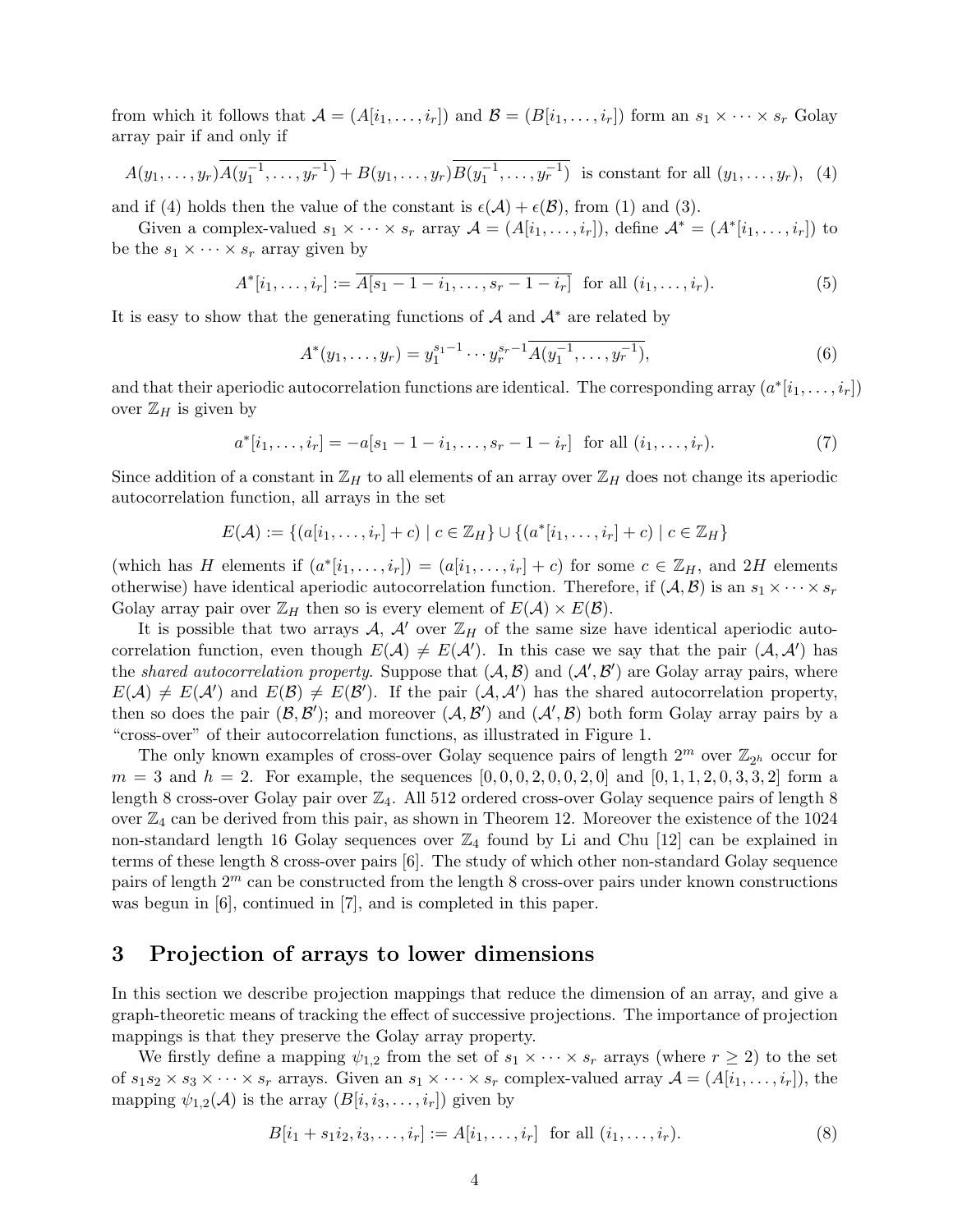from which it follows that  $\mathcal{A} = (A[i_1, \ldots, i_r])$  and  $\mathcal{B} = (B[i_1, \ldots, i_r])$  form an  $s_1 \times \cdots \times s_r$  Golay array pair if and only if

$$
A(y_1, \ldots, y_r) \overline{A(y_1^{-1}, \ldots, y_r^{-1})} + B(y_1, \ldots, y_r) \overline{B(y_1^{-1}, \ldots, y_r^{-1})}
$$
 is constant for all  $(y_1, \ldots, y_r)$ , (4)

and if (4) holds then the value of the constant is  $\epsilon(A) + \epsilon(B)$ , from (1) and (3).

Given a complex-valued  $s_1 \times \cdots \times s_r$  array  $\mathcal{A} = (A[i_1, \ldots, i_r])$ , define  $\mathcal{A}^* = (A^*[i_1, \ldots, i_r])$  to be the  $s_1 \times \cdots \times s_r$  array given by

$$
A^*[i_1, \dots, i_r] := \overline{A[s_1 - 1 - i_1, \dots, s_r - 1 - i_r]} \text{ for all } (i_1, \dots, i_r).
$$
 (5)

It is easy to show that the generating functions of  $A$  and  $A^*$  are related by

$$
A^*(y_1, \dots, y_r) = y_1^{s_1 - 1} \cdots y_r^{s_r - 1} \overline{A(y_1^{-1}, \dots, y_r^{-1})},
$$
\n<sup>(6)</sup>

and that their aperiodic autocorrelation functions are identical. The corresponding array  $(a^*[i_1,\ldots,i_r])$ over  $\mathbb{Z}_H$  is given by

$$
a^*[i_1, \dots, i_r] = -a[s_1 - 1 - i_1, \dots, s_r - 1 - i_r] \text{ for all } (i_1, \dots, i_r). \tag{7}
$$

Since addition of a constant in  $\mathbb{Z}_H$  to all elements of an array over  $\mathbb{Z}_H$  does not change its aperiodic autocorrelation function, all arrays in the set

$$
E(\mathcal{A}) := \{ (a[i_1, ..., i_r] + c) \mid c \in \mathbb{Z}_H \} \cup \{ (a^*[i_1, ..., i_r] + c) \mid c \in \mathbb{Z}_H \}
$$

(which has H elements if  $(a^*[i_1,\ldots,i_r]) = (a[i_1,\ldots,i_r]+c)$  for some  $c \in \mathbb{Z}_H$ , and  $2H$  elements otherwise) have identical aperiodic autocorrelation function. Therefore, if  $(A, B)$  is an  $s_1 \times \cdots \times s_r$ Golay array pair over  $\mathbb{Z}_H$  then so is every element of  $E(\mathcal{A}) \times E(\mathcal{B})$ .

It is possible that two arrays A, A' over  $\mathbb{Z}_H$  of the same size have identical aperiodic autocorrelation function, even though  $E(A) \neq E(A')$ . In this case we say that the pair  $(A, A')$  has the shared autocorrelation property. Suppose that  $(A, B)$  and  $(A', B')$  are Golay array pairs, where  $E(\mathcal{A}) \neq E(\mathcal{A}')$  and  $E(\mathcal{B}) \neq E(\mathcal{B}')$ . If the pair  $(\mathcal{A}, \mathcal{A}')$  has the shared autocorrelation property, then so does the pair  $(\mathcal{B}, \mathcal{B}')$ ; and moreover  $(\mathcal{A}, \mathcal{B}')$  and  $(\mathcal{A}', \mathcal{B})$  both form Golay array pairs by a "cross-over" of their autocorrelation functions, as illustrated in Figure 1.

The only known examples of cross-over Golay sequence pairs of length  $2^m$  over  $\mathbb{Z}_{2^h}$  occur for  $m = 3$  and  $h = 2$ . For example, the sequences  $[0, 0, 0, 2, 0, 0, 2, 0]$  and  $[0, 1, 1, 2, 0, 3, 3, 2]$  form a length 8 cross-over Golay pair over  $\mathbb{Z}_4$ . All 512 ordered cross-over Golay sequence pairs of length 8 over  $\mathbb{Z}_4$  can be derived from this pair, as shown in Theorem 12. Moreover the existence of the 1024 non-standard length 16 Golay sequences over  $\mathbb{Z}_4$  found by Li and Chu [12] can be explained in terms of these length 8 cross-over pairs [6]. The study of which other non-standard Golay sequence pairs of length  $2^m$  can be constructed from the length 8 cross-over pairs under known constructions was begun in [6], continued in [7], and is completed in this paper.

#### 3 Projection of arrays to lower dimensions

In this section we describe projection mappings that reduce the dimension of an array, and give a graph-theoretic means of tracking the effect of successive projections. The importance of projection mappings is that they preserve the Golay array property.

We firstly define a mapping  $\psi_{1,2}$  from the set of  $s_1 \times \cdots \times s_r$  arrays (where  $r \geq 2$ ) to the set of  $s_1s_2 \times s_3 \times \cdots \times s_r$  arrays. Given an  $s_1 \times \cdots \times s_r$  complex-valued array  $\mathcal{A} = (A[i_1,\ldots,i_r])$ , the mapping  $\psi_{1,2}(\mathcal{A})$  is the array  $(B[i, i_3, \ldots, i_r])$  given by

$$
B[i_1 + s_1 i_2, i_3, \dots, i_r] := A[i_1, \dots, i_r] \text{ for all } (i_1, \dots, i_r).
$$
 (8)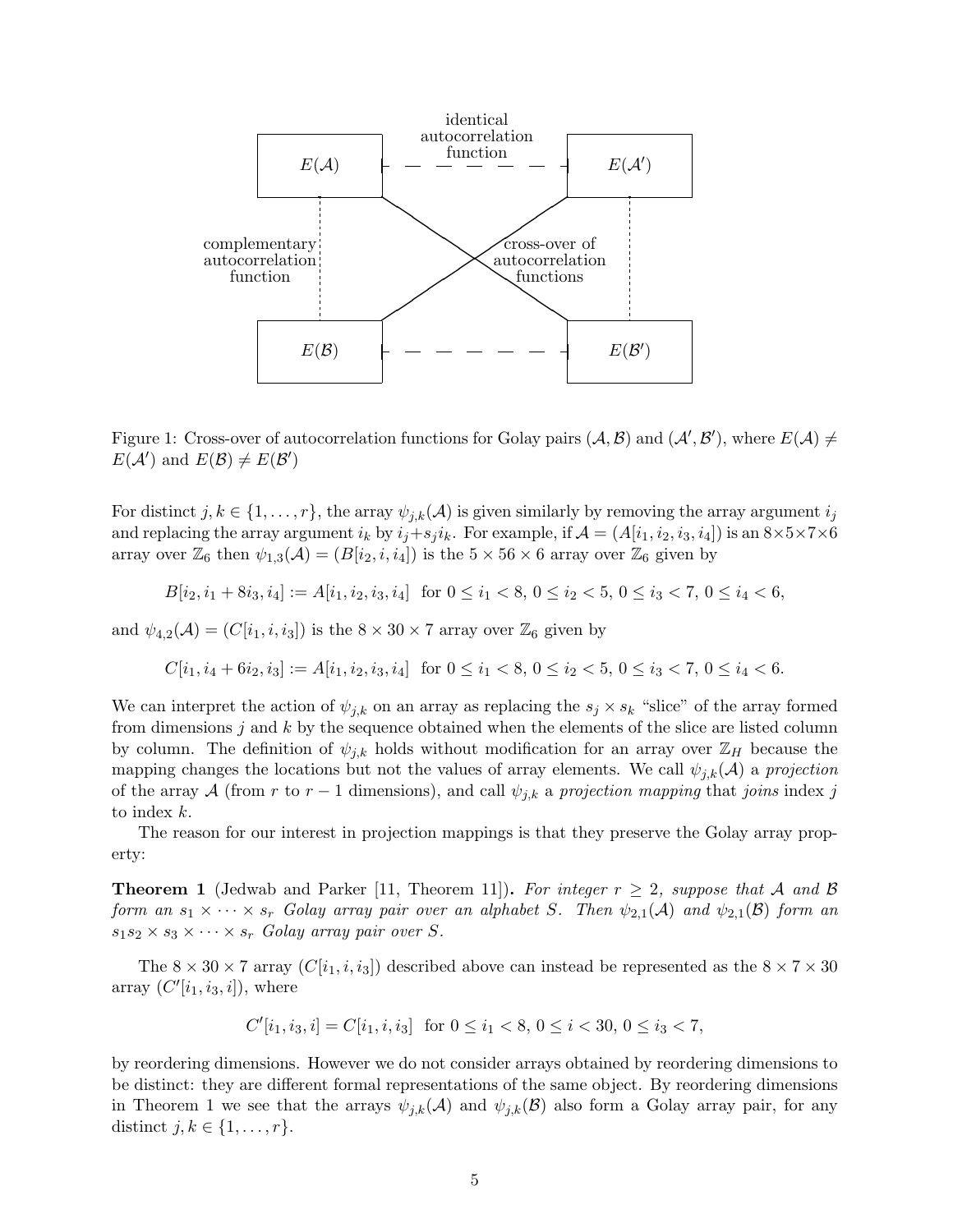

Figure 1: Cross-over of autocorrelation functions for Golay pairs  $(A, B)$  and  $(A', B')$ , where  $E(A) \neq$  $E(\mathcal{A}')$  and  $E(\mathcal{B}) \neq E(\mathcal{B}')$ 

For distinct  $j, k \in \{1, ..., r\}$ , the array  $\psi_{j,k}(\mathcal{A})$  is given similarly by removing the array argument  $i_j$ and replacing the array argument  $i_k$  by  $i_j+s_j i_k$ . For example, if  $\mathcal{A} = (A[i_1, i_2, i_3, i_4])$  is an  $8 \times 5 \times 7 \times 6$ array over  $\mathbb{Z}_6$  then  $\psi_{1,3}(\mathcal{A}) = (B[i_2, i, i_4])$  is the  $5 \times 56 \times 6$  array over  $\mathbb{Z}_6$  given by

$$
B[i_2, i_1 + 8i_3, i_4] := A[i_1, i_2, i_3, i_4] \text{ for } 0 \le i_1 < 8, 0 \le i_2 < 5, 0 \le i_3 < 7, 0 \le i_4 < 6,
$$

and  $\psi_{4,2}(\mathcal{A}) = (C[i_1, i, i_3])$  is the  $8 \times 30 \times 7$  array over  $\mathbb{Z}_6$  given by

$$
C[i_1, i_4 + 6i_2, i_3] := A[i_1, i_2, i_3, i_4] \text{ for } 0 \le i_1 < 8, 0 \le i_2 < 5, 0 \le i_3 < 7, 0 \le i_4 < 6.
$$

We can interpret the action of  $\psi_{j,k}$  on an array as replacing the  $s_j \times s_k$  "slice" of the array formed from dimensions j and  $k$  by the sequence obtained when the elements of the slice are listed column by column. The definition of  $\psi_{j,k}$  holds without modification for an array over  $\mathbb{Z}_H$  because the mapping changes the locations but not the values of array elements. We call  $\psi_{i,k}(\mathcal{A})$  a projection of the array A (from r to r – 1 dimensions), and call  $\psi_{j,k}$  a projection mapping that joins index j to index k.

The reason for our interest in projection mappings is that they preserve the Golay array property:

**Theorem 1** (Jedwab and Parker [11, Theorem 11]). For integer  $r \geq 2$ , suppose that A and B form an  $s_1 \times \cdots \times s_r$  Golay array pair over an alphabet S. Then  $\psi_{2,1}(\mathcal{A})$  and  $\psi_{2,1}(\mathcal{B})$  form an  $s_1s_2 \times s_3 \times \cdots \times s_r$  Golay array pair over S.

The  $8 \times 30 \times 7$  array  $(C[i_1, i, i_3])$  described above can instead be represented as the  $8 \times 7 \times 30$ array  $(C'[i_1, i_3, i])$ , where

$$
C'[i_1, i_3, i] = C[i_1, i, i_3] \text{ for } 0 \le i_1 < 8, 0 \le i < 30, 0 \le i_3 < 7,
$$

by reordering dimensions. However we do not consider arrays obtained by reordering dimensions to be distinct: they are different formal representations of the same object. By reordering dimensions in Theorem 1 we see that the arrays  $\psi_{i,k}(\mathcal{A})$  and  $\psi_{i,k}(\mathcal{B})$  also form a Golay array pair, for any distinct  $j, k \in \{1, \ldots, r\}.$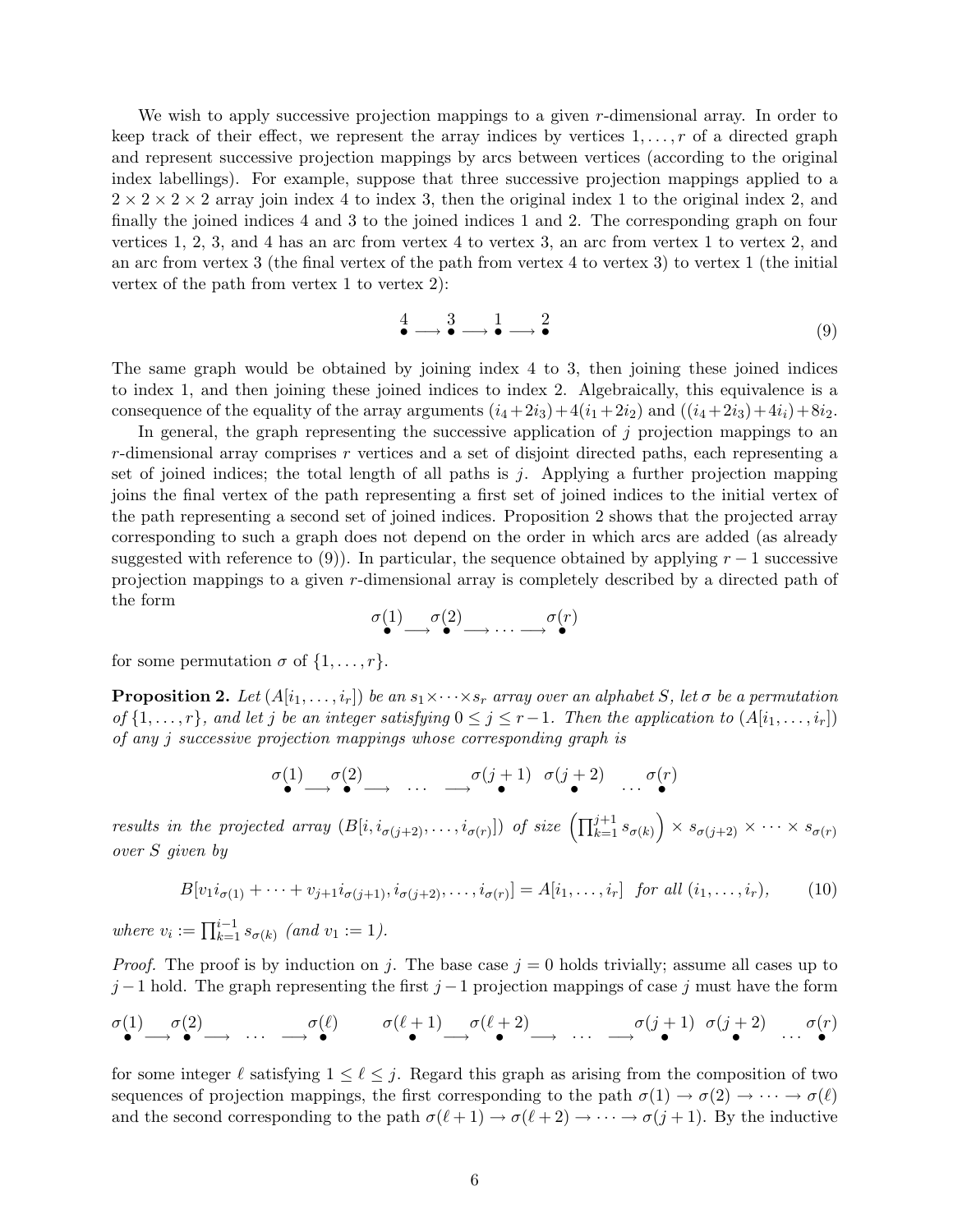We wish to apply successive projection mappings to a given r-dimensional array. In order to keep track of their effect, we represent the array indices by vertices  $1, \ldots, r$  of a directed graph and represent successive projection mappings by arcs between vertices (according to the original index labellings). For example, suppose that three successive projection mappings applied to a  $2 \times 2 \times 2 \times 2$  array join index 4 to index 3, then the original index 1 to the original index 2, and finally the joined indices 4 and 3 to the joined indices 1 and 2. The corresponding graph on four vertices 1, 2, 3, and 4 has an arc from vertex 4 to vertex 3, an arc from vertex 1 to vertex 2, and an arc from vertex 3 (the final vertex of the path from vertex 4 to vertex 3) to vertex 1 (the initial vertex of the path from vertex 1 to vertex 2):

$$
\stackrel{4}{\bullet} \longrightarrow \stackrel{3}{\bullet} \longrightarrow \stackrel{1}{\bullet} \longrightarrow \stackrel{2}{\bullet} \tag{9}
$$

The same graph would be obtained by joining index 4 to 3, then joining these joined indices to index 1, and then joining these joined indices to index 2. Algebraically, this equivalence is a consequence of the equality of the array arguments  $(i_4+2i_3)+4(i_1+2i_2)$  and  $((i_4+2i_3)+4i_1)+8i_2$ .

In general, the graph representing the successive application of  $j$  projection mappings to an  $r$ -dimensional array comprises  $r$  vertices and a set of disjoint directed paths, each representing a set of joined indices; the total length of all paths is  $j$ . Applying a further projection mapping joins the final vertex of the path representing a first set of joined indices to the initial vertex of the path representing a second set of joined indices. Proposition 2 shows that the projected array corresponding to such a graph does not depend on the order in which arcs are added (as already suggested with reference to (9)). In particular, the sequence obtained by applying  $r-1$  successive projection mappings to a given r-dimensional array is completely described by a directed path of the form

$$
\overset{\sigma(1)}{\bullet} \longrightarrow \overset{\sigma(2)}{\bullet} \longrightarrow \cdots \longrightarrow \overset{\sigma(r)}{\bullet}
$$

for some permutation  $\sigma$  of  $\{1, \ldots, r\}$ .

**Proposition 2.** Let  $(A[i_1, \ldots, i_r])$  be an  $s_1 \times \cdots \times s_r$  array over an alphabet S, let  $\sigma$  be a permutation of  $\{1,\ldots,r\}$ , and let j be an integer satisfying  $0 \leq j \leq r-1$ . Then the application to  $(A[i_1,\ldots,i_r])$ of any j successive projection mappings whose corresponding graph is

$$
\sigma(1) \longrightarrow \sigma(2) \longrightarrow \cdots \longrightarrow \sigma(j+1) \quad \sigma(j+2) \quad \cdots \quad \sigma(r)
$$

results in the projected array  $(B[i, i_{\sigma(j+2)},..., i_{\sigma(r)}])$  of size  $(\prod_{k=1}^{j+1} s_{\sigma(k)}) \times s_{\sigma(j+2)} \times \cdots \times s_{\sigma(r)}$ over S given by

$$
B[v_1i_{\sigma(1)} + \dots + v_{j+1}i_{\sigma(j+1)}, i_{\sigma(j+2)}, \dots, i_{\sigma(r)}] = A[i_1, \dots, i_r] \text{ for all } (i_1, \dots, i_r),
$$
 (10)

where  $v_i := \prod_{k=1}^{i-1} s_{\sigma(k)}$  (and  $v_1 := 1$ ).

*Proof.* The proof is by induction on j. The base case  $j = 0$  holds trivially; assume all cases up to  $j-1$  hold. The graph representing the first  $j-1$  projection mappings of case j must have the form

$$
\begin{array}{ccccccccc}\n\sigma(1) & \sigma(2) & \cdots & \sigma(\ell) & \sigma(\ell+1) & \sigma(\ell+2) & \cdots & \sigma(j+1) & \sigma(j+2) & \cdots & \sigma(r) \\
\end{array}
$$

for some integer  $\ell$  satisfying  $1 \leq \ell \leq j$ . Regard this graph as arising from the composition of two sequences of projection mappings, the first corresponding to the path  $\sigma(1) \to \sigma(2) \to \cdots \to \sigma(\ell)$ and the second corresponding to the path  $\sigma(\ell + 1) \to \sigma(\ell + 2) \to \cdots \to \sigma(j + 1)$ . By the inductive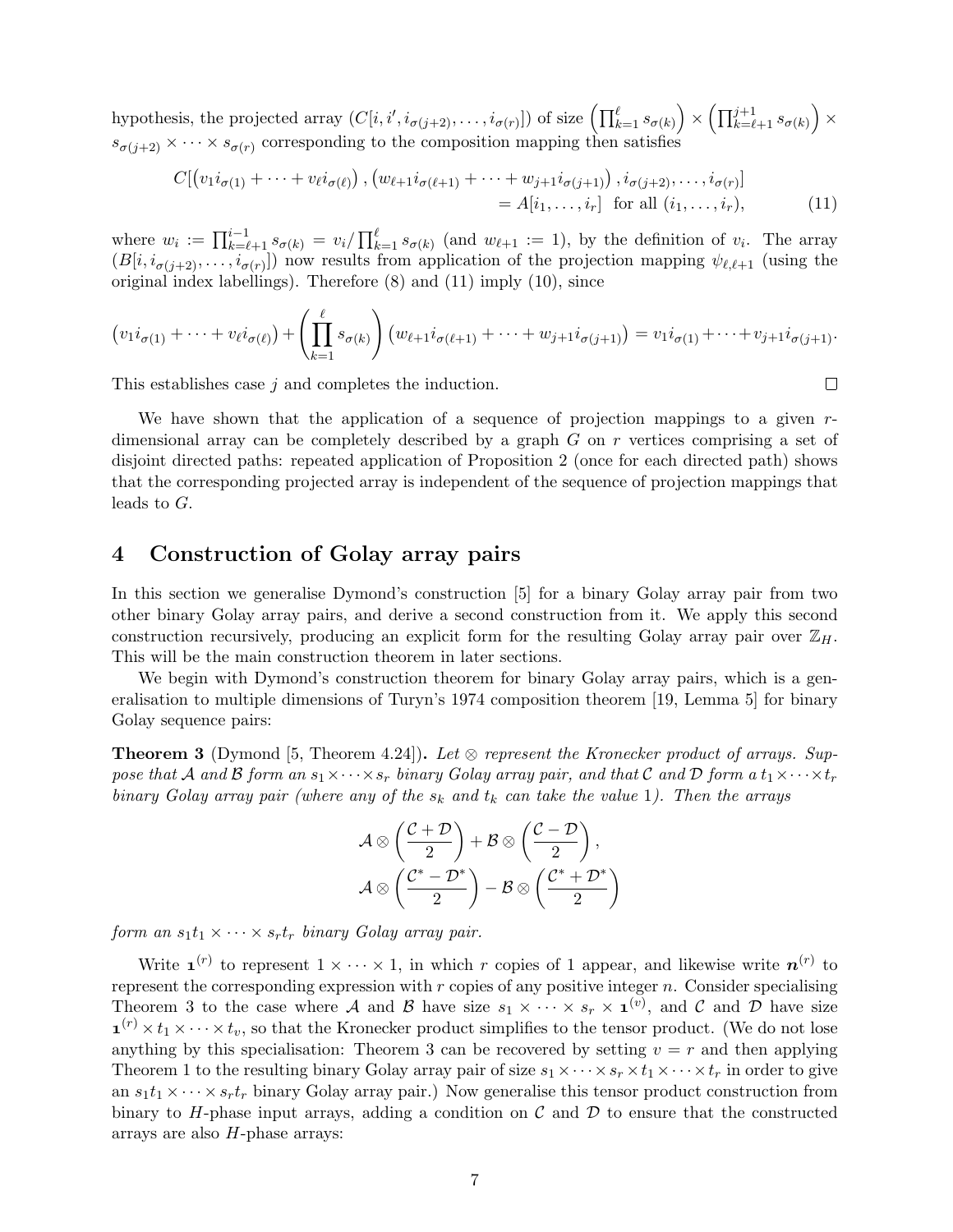hypothesis, the projected array  $(C[i, i', i_{\sigma(j+2)}, \ldots, i_{\sigma(r)}])$  of size  $\left(\prod_{k=1}^{\ell} s_{\sigma(k)}\right) \times \left(\prod_{k=\ell+1}^{j+1} s_{\sigma(k)}\right) \times$  $s_{\sigma(j+2)} \times \cdots \times s_{\sigma(r)}$  corresponding to the composition mapping then satisfies

$$
C[\left(v_1i_{\sigma(1)} + \dots + v_{\ell}i_{\sigma(\ell)}\right), \left(w_{\ell+1}i_{\sigma(\ell+1)} + \dots + w_{j+1}i_{\sigma(j+1)}\right), i_{\sigma(j+2)}, \dots, i_{\sigma(r)}]
$$
  
=  $A[i_1, \dots, i_r]$  for all  $(i_1, \dots, i_r)$ , (11)

where  $w_i := \prod_{k=\ell+1}^{i-1} s_{\sigma(k)} = v_i / \prod_{k=1}^{\ell} s_{\sigma(k)}$  (and  $w_{\ell+1} := 1$ ), by the definition of  $v_i$ . The array  $(B[i, i_{\sigma(j+2)}, \ldots, i_{\sigma(r)}])$  now results from application of the projection mapping  $\psi_{\ell,\ell+1}$  (using the original index labellings). Therefore (8) and (11) imply (10), since

$$
(v_1 i_{\sigma(1)} + \cdots + v_{\ell} i_{\sigma(\ell)}) + \left(\prod_{k=1}^{\ell} s_{\sigma(k)}\right) (w_{\ell+1} i_{\sigma(\ell+1)} + \cdots + w_{j+1} i_{\sigma(j+1)}) = v_1 i_{\sigma(1)} + \cdots + v_{j+1} i_{\sigma(j+1)}.
$$

This establishes case j and completes the induction.

We have shown that the application of a sequence of projection mappings to a given  $r$ dimensional array can be completely described by a graph  $G$  on  $r$  vertices comprising a set of disjoint directed paths: repeated application of Proposition 2 (once for each directed path) shows that the corresponding projected array is independent of the sequence of projection mappings that leads to G.

#### 4 Construction of Golay array pairs

In this section we generalise Dymond's construction [5] for a binary Golay array pair from two other binary Golay array pairs, and derive a second construction from it. We apply this second construction recursively, producing an explicit form for the resulting Golay array pair over  $\mathbb{Z}_H$ . This will be the main construction theorem in later sections.

We begin with Dymond's construction theorem for binary Golay array pairs, which is a generalisation to multiple dimensions of Turyn's 1974 composition theorem [19, Lemma 5] for binary Golay sequence pairs:

**Theorem 3** (Dymond [5, Theorem 4.24]). Let  $\otimes$  represent the Kronecker product of arrays. Suppose that A and B form an  $s_1 \times \cdots \times s_r$  binary Golay array pair, and that C and D form a  $t_1 \times \cdots \times t_r$ binary Golay array pair (where any of the  $s_k$  and  $t_k$  can take the value 1). Then the arrays

$$
\mathcal{A} \otimes \left(\frac{\mathcal{C} + \mathcal{D}}{2}\right) + \mathcal{B} \otimes \left(\frac{\mathcal{C} - \mathcal{D}}{2}\right),\,
$$

$$
\mathcal{A} \otimes \left(\frac{\mathcal{C}^* - \mathcal{D}^*}{2}\right) - \mathcal{B} \otimes \left(\frac{\mathcal{C}^* + \mathcal{D}^*}{2}\right)
$$

form an  $s_1t_1 \times \cdots \times s_rt_r$  binary Golay array pair.

Write  $\mathbf{1}^{(r)}$  to represent  $1 \times \cdots \times 1$ , in which r copies of 1 appear, and likewise write  $n^{(r)}$  to represent the corresponding expression with  $r$  copies of any positive integer  $n$ . Consider specialising Theorem 3 to the case where A and B have size  $s_1 \times \cdots \times s_r \times \mathbf{1}^{(v)}$ , and C and D have size  $\mathbf{1}^{(r)} \times t_1 \times \cdots \times t_v$ , so that the Kronecker product simplifies to the tensor product. (We do not lose anything by this specialisation: Theorem 3 can be recovered by setting  $v = r$  and then applying Theorem 1 to the resulting binary Golay array pair of size  $s_1 \times \cdots \times s_r \times t_1 \times \cdots \times t_r$  in order to give an  $s_1t_1 \times \cdots \times s_rt_r$  binary Golay array pair.) Now generalise this tensor product construction from binary to H-phase input arrays, adding a condition on  $\mathcal C$  and  $\mathcal D$  to ensure that the constructed arrays are also  $H$ -phase arrays:

 $\Box$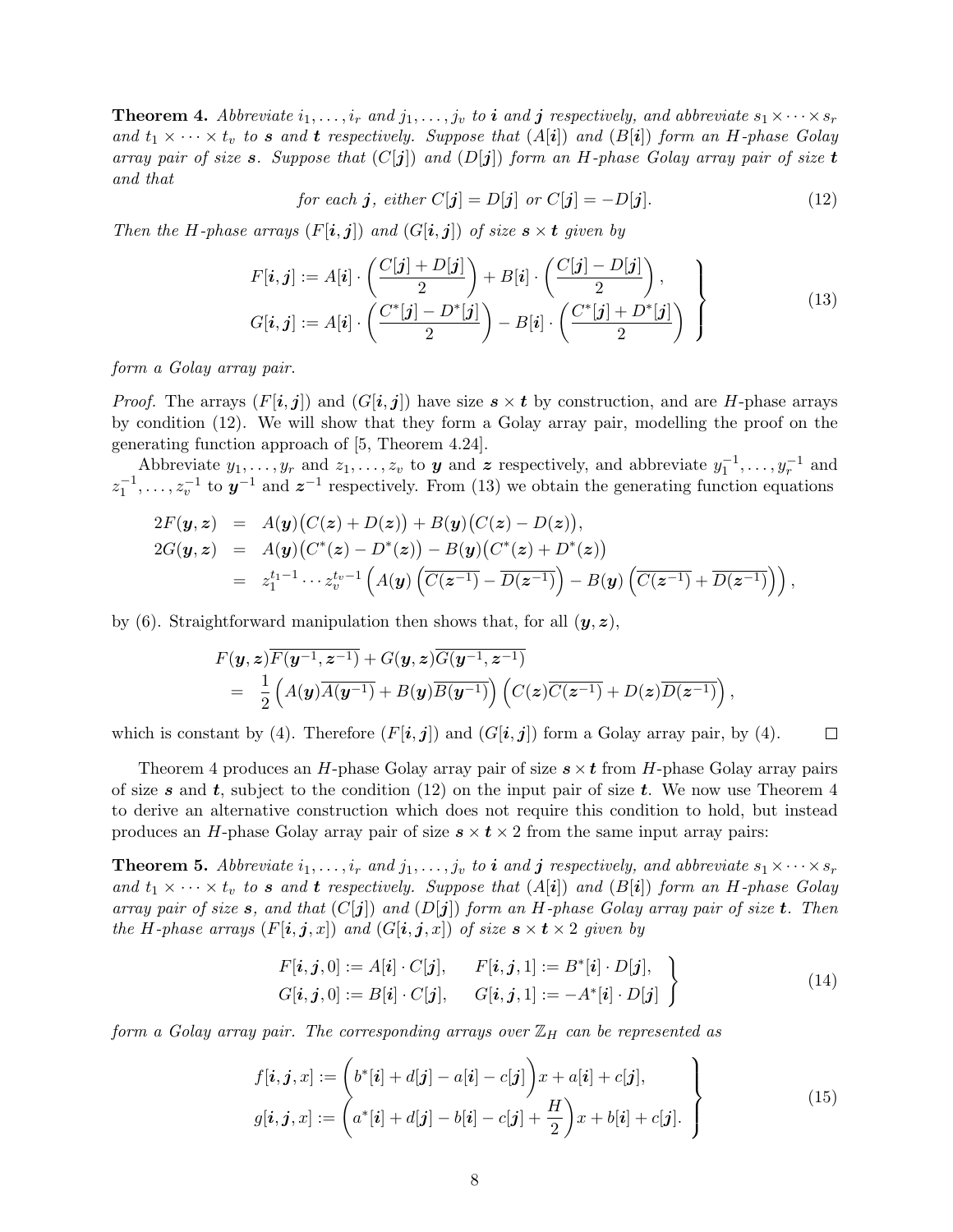**Theorem 4.** Abbreviate  $i_1, \ldots, i_r$  and  $j_1, \ldots, j_v$  to i and j respectively, and abbreviate  $s_1 \times \cdots \times s_r$ and  $t_1 \times \cdots \times t_v$  to s and t respectively. Suppose that  $(A[i])$  and  $(B[i])$  form an H-phase Golay array pair of size s. Suppose that  $(C[j])$  and  $(D[j])$  form an H-phase Golay array pair of size t and that

for each 
$$
j
$$
, either  $C[j] = D[j]$  or  $C[j] = -D[j]$ . (12)

Then the H-phase arrays  $(F[i, j])$  and  $(G[i, j])$  of size  $s \times t$  given by

$$
F[i, j] := A[i] \cdot \left(\frac{C[j] + D[j]}{2}\right) + B[i] \cdot \left(\frac{C[j] - D[j]}{2}\right),
$$
  
\n
$$
G[i, j] := A[i] \cdot \left(\frac{C^*[j] - D^*[j]}{2}\right) - B[i] \cdot \left(\frac{C^*[j] + D^*[j]}{2}\right)
$$
\n(13)

form a Golay array pair.

*Proof.* The arrays  $(F[i, j])$  and  $(G[i, j])$  have size  $s \times t$  by construction, and are H-phase arrays by condition (12). We will show that they form a Golay array pair, modelling the proof on the generating function approach of [5, Theorem 4.24].

Abbreviate  $y_1, \ldots, y_r$  and  $z_1, \ldots, z_v$  to **y** and z respectively, and abbreviate  $y_1^{-1}, \ldots, y_r^{-1}$  and  $z_1^{-1}, \ldots, z_v^{-1}$  to  $y^{-1}$  and  $z^{-1}$  respectively. From (13) we obtain the generating function equations

$$
2F(\mathbf{y}, \mathbf{z}) = A(\mathbf{y})(C(\mathbf{z}) + D(\mathbf{z})) + B(\mathbf{y})(C(\mathbf{z}) - D(\mathbf{z})),
$$
  
\n
$$
2G(\mathbf{y}, \mathbf{z}) = A(\mathbf{y})(C^*(\mathbf{z}) - D^*(\mathbf{z})) - B(\mathbf{y})(C^*(\mathbf{z}) + D^*(\mathbf{z}))
$$
  
\n
$$
= z_1^{t_1 - 1} \cdots z_v^{t_v - 1} \left( A(\mathbf{y}) \left( \overline{C(\mathbf{z}^{-1})} - \overline{D(\mathbf{z}^{-1})} \right) - B(\mathbf{y}) \left( \overline{C(\mathbf{z}^{-1})} + \overline{D(\mathbf{z}^{-1})} \right) \right),
$$

by (6). Straightforward manipulation then shows that, for all  $(y, z)$ ,

$$
F(y, z)\overline{F(y^{-1}, z^{-1})} + G(y, z)\overline{G(y^{-1}, z^{-1})}
$$
  
=  $\frac{1}{2} (A(y)\overline{A(y^{-1})} + B(y)\overline{B(y^{-1})}) (C(z)\overline{C(z^{-1})} + D(z)\overline{D(z^{-1})}),$ 

which is constant by (4). Therefore  $(F[i, j])$  and  $(G[i, j])$  form a Golay array pair, by (4).  $\Box$ 

Theorem 4 produces an H-phase Golay array pair of size  $s \times t$  from H-phase Golay array pairs of size s and t, subject to the condition (12) on the input pair of size t. We now use Theorem 4 to derive an alternative construction which does not require this condition to hold, but instead produces an H-phase Golay array pair of size  $s \times t \times 2$  from the same input array pairs:

**Theorem 5.** Abbreviate  $i_1, \ldots, i_r$  and  $j_1, \ldots, j_v$  to **i** and **j** respectively, and abbreviate  $s_1 \times \cdots \times s_r$ and  $t_1 \times \cdots \times t_v$  to s and t respectively. Suppose that  $(A[i])$  and  $(B[i])$  form an H-phase Golay array pair of size s, and that  $(C[j])$  and  $(D[j])$  form an H-phase Golay array pair of size t. Then the H-phase arrays  $(F[i, j, x])$  and  $(G[i, j, x])$  of size  $s \times t \times 2$  given by

$$
F[\boldsymbol{i}, \boldsymbol{j}, 0] := A[\boldsymbol{i}] \cdot C[\boldsymbol{j}], \qquad F[\boldsymbol{i}, \boldsymbol{j}, 1] := B^*[\boldsymbol{i}] \cdot D[\boldsymbol{j}],
$$
  
\n
$$
G[\boldsymbol{i}, \boldsymbol{j}, 0] := B[\boldsymbol{i}] \cdot C[\boldsymbol{j}], \qquad G[\boldsymbol{i}, \boldsymbol{j}, 1] := -A^*[\boldsymbol{i}] \cdot D[\boldsymbol{j}]
$$
\n(14)

form a Golay array pair. The corresponding arrays over  $\mathbb{Z}_H$  can be represented as

$$
f[\boldsymbol{i}, \boldsymbol{j}, x] := \left( b^*[\boldsymbol{i}] + d[\boldsymbol{j}] - a[\boldsymbol{i}] - c[\boldsymbol{j}] \right) x + a[\boldsymbol{i}] + c[\boldsymbol{j}],
$$
  
\n
$$
g[\boldsymbol{i}, \boldsymbol{j}, x] := \left( a^*[\boldsymbol{i}] + d[\boldsymbol{j}] - b[\boldsymbol{i}] - c[\boldsymbol{j}] + \frac{H}{2} \right) x + b[\boldsymbol{i}] + c[\boldsymbol{j}].
$$
\n(15)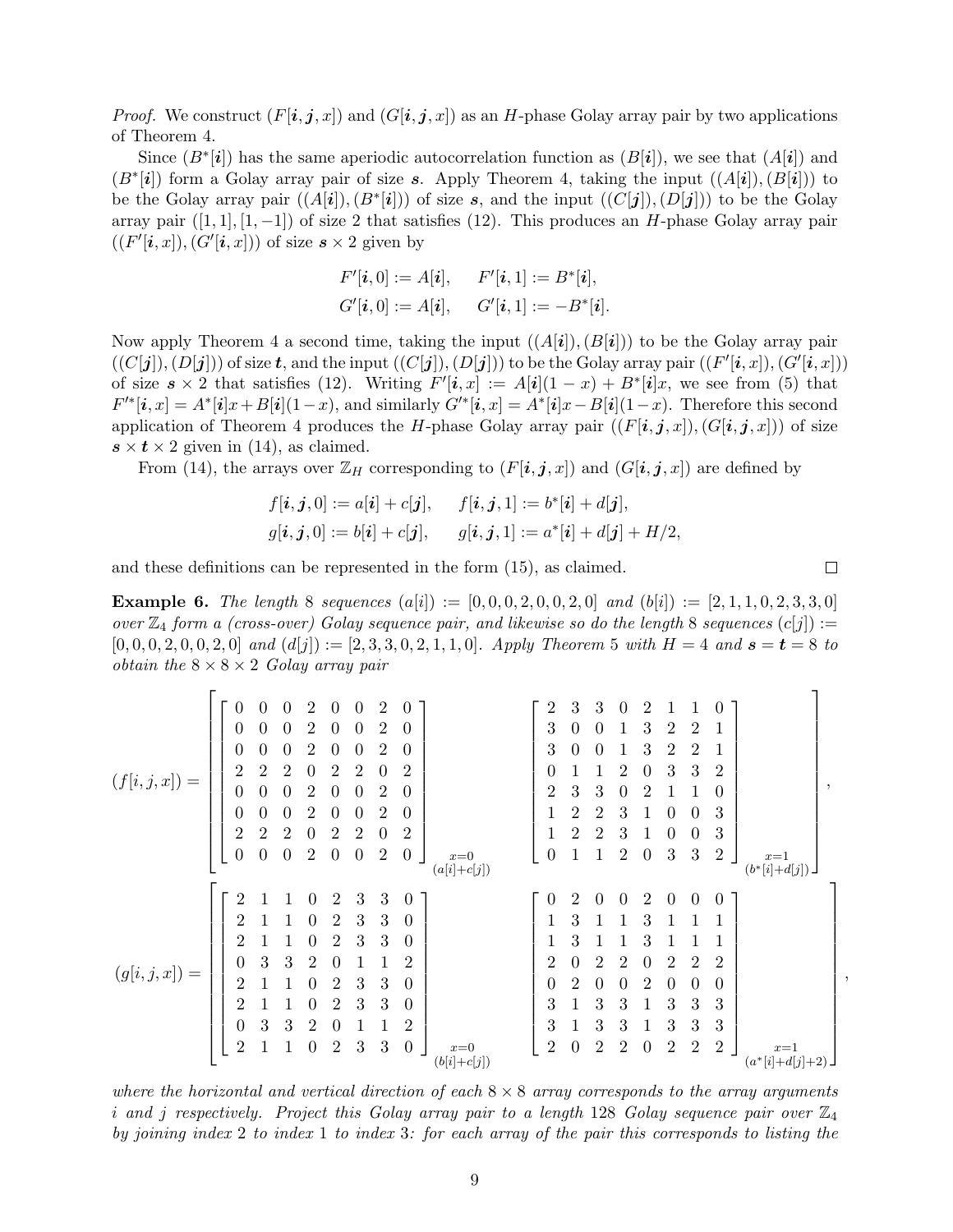*Proof.* We construct  $(F[i, j, x])$  and  $(G[i, j, x])$  as an H-phase Golay array pair by two applications of Theorem 4.

Since  $(B^*[\mathbf{i}])$  has the same aperiodic autocorrelation function as  $(B[\mathbf{i}])$ , we see that  $(A[\mathbf{i}])$  and  $(B^*[\boldsymbol{i}])$  form a Golay array pair of size s. Apply Theorem 4, taking the input  $((A[\boldsymbol{i}]), (B[\boldsymbol{i}]))$  to be the Golay array pair  $((A[i]), (B^*[i]))$  of size s, and the input  $((C[j]), (D[j]))$  to be the Golay array pair  $([1, 1], [1, -1])$  of size 2 that satisfies (12). This produces an H-phase Golay array pair  $((F'[\mathbf{i}, x]), (G'[\mathbf{i}, x]))$  of size  $\mathbf{s} \times 2$  given by

$$
F'[i, 0] := A[i], \quad F'[i, 1] := B^*[i],
$$
  

$$
G'[i, 0] := A[i], \quad G'[i, 1] := -B^*[i].
$$

Now apply Theorem 4 a second time, taking the input  $((A[i]), (B[i])$  to be the Golay array pair  $((C[j]), (D[j]))$  of size t, and the input  $((C[j]), (D[j]))$  to be the Golay array pair  $((F'[i, x]), (G'[i, x]))$ of size  $s \times 2$  that satisfies (12). Writing  $F'[i, x] := A[i](1-x) + B^*[i]x$ , we see from (5) that  $F'^{*}[i, x] = A^{*}[i]x + B[i](1-x)$ , and similarly  $G'^{*}[i, x] = A^{*}[i]x - B[i](1-x)$ . Therefore this second application of Theorem 4 produces the H-phase Golay array pair  $((F[i, j, x]), (G[i, j, x]))$  of size  $s \times t \times 2$  given in (14), as claimed.

From (14), the arrays over  $\mathbb{Z}_H$  corresponding to  $(F[i, j, x])$  and  $(G[i, j, x])$  are defined by

$$
f[\mathbf{i}, \mathbf{j}, 0] := a[\mathbf{i}] + c[\mathbf{j}], \qquad f[\mathbf{i}, \mathbf{j}, 1] := b^*[\mathbf{i}] + d[\mathbf{j}],
$$
  

$$
g[\mathbf{i}, \mathbf{j}, 0] := b[\mathbf{i}] + c[\mathbf{j}], \qquad g[\mathbf{i}, \mathbf{j}, 1] := a^*[\mathbf{i}] + d[\mathbf{j}] + H/2,
$$

and these definitions can be represented in the form (15), as claimed.

**Example 6.** The length 8 sequences  $(a[i]) := [0, 0, 0, 2, 0, 0, 2, 0]$  and  $(b[i]) := [2, 1, 1, 0, 2, 3, 3, 0]$ over  $\mathbb{Z}_4$  form a (cross-over) Golay sequence pair, and likewise so do the length 8 sequences  $(c[j]) :=$  $[0, 0, 0, 2, 0, 0, 2, 0]$  and  $(d[j]) := [2, 3, 3, 0, 2, 1, 1, 0]$ . Apply Theorem 5 with  $H = 4$  and  $s = t = 8$  to *obtain the*  $8 \times 8 \times 2$  *Golay array pair* 

$$
(f[i,j,x]) = \begin{bmatrix} 0 & 0 & 0 & 2 & 0 & 0 & 2 & 0 \\ 0 & 0 & 0 & 2 & 0 & 0 & 2 & 0 \\ 0 & 0 & 0 & 2 & 0 & 0 & 2 & 0 \\ 2 & 2 & 2 & 0 & 2 & 2 & 0 & 2 \\ 0 & 0 & 0 & 2 & 0 & 0 & 2 & 0 \\ 0 & 0 & 0 & 2 & 0 & 0 & 2 & 0 \\ 2 & 2 & 2 & 0 & 2 & 2 & 0 & 2 \\ 0 & 0 & 0 & 2 & 0 & 0 & 2 & 0 \\ 0 & 0 & 0 & 2 & 0 & 0 & 2 & 0 \\ 0 & 0 & 0 & 2 & 0 & 0 & 2 & 0 \\ 0 & 0 & 0 & 2 & 0 & 0 & 2 & 0 \\ 0 & 0 & 0 & 2 & 0 & 0 & 2 & 0 \\ 0 & 0 & 0 & 2 & 0 & 0 & 2 & 0 \\ 0 & 0 & 0 & 2 & 0 & 0 & 2 & 0 \\ 0 & 0 & 3 & 3 & 2 & 0 & 1 & 1 & 2 \\ 2 & 1 & 1 & 0 & 2 & 3 & 3 & 0 \\ 2 & 1 & 1 & 0 & 2 & 3 & 3 & 0 \\ 2 & 1 & 1 & 0 & 2 & 3 & 3 & 0 \\ 2 & 1 & 1 & 0 & 2 & 3 & 3 & 0 \\ 2 & 1 & 1 & 0 & 2 & 3 & 3 & 0 \\ 2 & 1 & 1 & 0 & 2 & 3 & 3 & 0 \\ 2 & 1 & 1 & 0 & 2 & 3 & 3 & 0 \\ 2 & 1 & 1 & 0 & 2 & 3 & 3 & 0 \\ 2 & 1 & 1 & 0 & 2 & 3 & 3 & 0 \\ 2 & 1 & 1 & 0 & 2 & 3 & 3 & 0 \\ 2 & 1 & 1 & 0 & 2 & 3 & 3 & 0 \\ 2 & 1 & 1 & 0 & 2 & 3 & 3 & 0 \\ 2 & 1 & 1 & 0 & 2 & 3 & 3 & 0 \\ 2 & 1 & 1 & 0 & 2 & 3 & 3 & 0 \\ 2 & 1 & 1 & 0 & 2 & 3 & 3 & 0 \\ 2 & 1 & 1 & 0 & 2 & 3 & 3 & 0 \\
$$

where the horizontal and vertical direction of each  $8 \times 8$  array corresponds to the array arguments i and j respectively. Project this Golay array pair to a length 128 Golay sequence pair over  $\mathbb{Z}_4$ by joining index 2 to index 1 to index 3: for each array of the pair this corresponds to listing the

 $\Box$ 

 $\mathbf{\overline{1}}$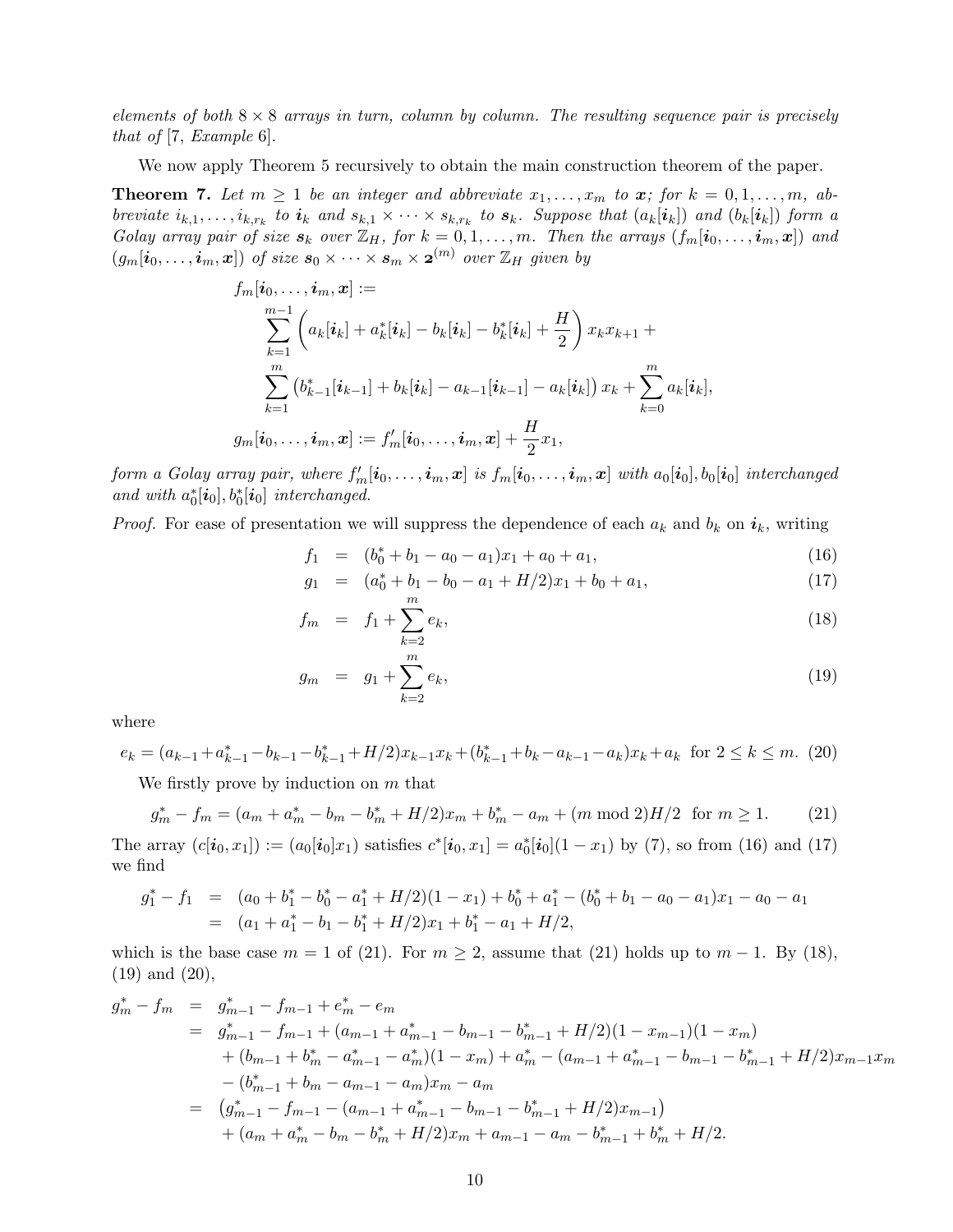elements of both  $8 \times 8$  arrays in turn, column by column. The resulting sequence pair is precisely that of [7, Example 6].

We now apply Theorem 5 recursively to obtain the main construction theorem of the paper.

**Theorem 7.** Let  $m \geq 1$  be an integer and abbreviate  $x_1, \ldots, x_m$  to  $x$ ; for  $k = 0, 1, \ldots, m$ , abbreviate  $i_{k,1},\ldots,i_{k,r_k}$  to  $i_k$  and  $s_{k,1}\times\cdots\times s_{k,r_k}$  to  $s_k$ . Suppose that  $(a_k[i_k])$  and  $(b_k[i_k])$  form a Golay array pair of size  $s_k$  over  $\mathbb{Z}_H$ , for  $k = 0, 1, \ldots, m$ . Then the arrays  $(f_m[i_0, \ldots, i_m, x])$  and  $(g_m[i_0,\ldots,i_m,x])$  of size  $s_0\times\cdots\times s_m\times{\bf 2}^{(m)}$  over  $\mathbb{Z}_H$  given by

$$
f_m[\boldsymbol{i}_0,\ldots,\boldsymbol{i}_m,\boldsymbol{x}] := \\ \sum_{k=1}^{m-1} \left( a_k[\boldsymbol{i}_k] + a_k^*[\boldsymbol{i}_k] - b_k[\boldsymbol{i}_k] - b_k^*[\boldsymbol{i}_k] + \frac{H}{2} \right) x_k x_{k+1} + \\ \sum_{k=1}^{m} \left( b_{k-1}^*[\boldsymbol{i}_{k-1}] + b_k[\boldsymbol{i}_k] - a_{k-1}[\boldsymbol{i}_{k-1}] - a_k[\boldsymbol{i}_k] \right) x_k + \sum_{k=0}^{m} a_k[\boldsymbol{i}_k], \\ g_m[\boldsymbol{i}_0,\ldots,\boldsymbol{i}_m,\boldsymbol{x}] := f_m'[\boldsymbol{i}_0,\ldots,\boldsymbol{i}_m,\boldsymbol{x}] + \frac{H}{2} x_1,
$$

form a Golay array pair, where  $f'_m[i_0,\ldots,i_m,\pmb{x}]$  is  $f_m[i_0,\ldots,i_m,\pmb{x}]$  with  $a_0[i_0],b_0[i_0]$  interchanged and with  $a_0^*[\boldsymbol{i}_0], b_0^*[\boldsymbol{i}_0]$  interchanged.

*Proof.* For ease of presentation we will suppress the dependence of each  $a_k$  and  $b_k$  on  $i_k$ , writing

$$
f_1 = (b_0^* + b_1 - a_0 - a_1)x_1 + a_0 + a_1,
$$
\n(16)

$$
g_1 = (a_0^* + b_1 - b_0 - a_1 + H/2)x_1 + b_0 + a_1,\tag{17}
$$

$$
f_m = f_1 + \sum_{k=2}^{m} e_k,
$$
\n(18)

$$
g_m = g_1 + \sum_{k=2}^{m} e_k,
$$
\n(19)

where

$$
e_k = (a_{k-1} + a_{k-1}^* - b_{k-1} - b_{k-1}^* + H/2)x_{k-1}x_k + (b_{k-1}^* + b_k - a_{k-1} - a_k)x_k + a_k \text{ for } 2 \le k \le m. \tag{20}
$$

We firstly prove by induction on  $m$  that

$$
g_m^* - f_m = (a_m + a_m^* - b_m - b_m^* + H/2)x_m + b_m^* - a_m + (m \mod 2)H/2 \text{ for } m \ge 1.
$$
 (21)

The array  $(c[i_0, x_1]) := (a_0[i_0]x_1)$  satisfies  $c^*[i_0, x_1] = a_0^*[i_0](1 - x_1)$  by (7), so from (16) and (17) we find

$$
g_1^* - f_1 = (a_0 + b_1^* - b_0^* - a_1^* + H/2)(1 - x_1) + b_0^* + a_1^* - (b_0^* + b_1 - a_0 - a_1)x_1 - a_0 - a_1
$$
  
=  $(a_1 + a_1^* - b_1 - b_1^* + H/2)x_1 + b_1^* - a_1 + H/2,$ 

which is the base case  $m = 1$  of (21). For  $m \geq 2$ , assume that (21) holds up to  $m - 1$ . By (18), (19) and (20),

$$
g_m^* - f_m = g_{m-1}^* - f_{m-1} + e_m^* - e_m
$$
  
\n
$$
= g_{m-1}^* - f_{m-1} + (a_{m-1} + a_{m-1}^* - b_{m-1} - b_{m-1}^* + H/2)(1 - x_{m-1})(1 - x_m)
$$
  
\n
$$
+ (b_{m-1} + b_m^* - a_{m-1}^* - a_m^*)(1 - x_m) + a_m^* - (a_{m-1} + a_{m-1}^* - b_{m-1} - b_{m-1}^* + H/2)x_{m-1}x_m
$$
  
\n
$$
- (b_{m-1}^* + b_m - a_{m-1} - a_m)x_m - a_m
$$
  
\n
$$
= (g_{m-1}^* - f_{m-1} - (a_{m-1} + a_{m-1}^* - b_{m-1} - b_{m-1}^* + H/2)x_{m-1})
$$
  
\n
$$
+ (a_m + a_m^* - b_m - b_m^* + H/2)x_m + a_{m-1} - a_m - b_{m-1}^* + b_m^* + H/2.
$$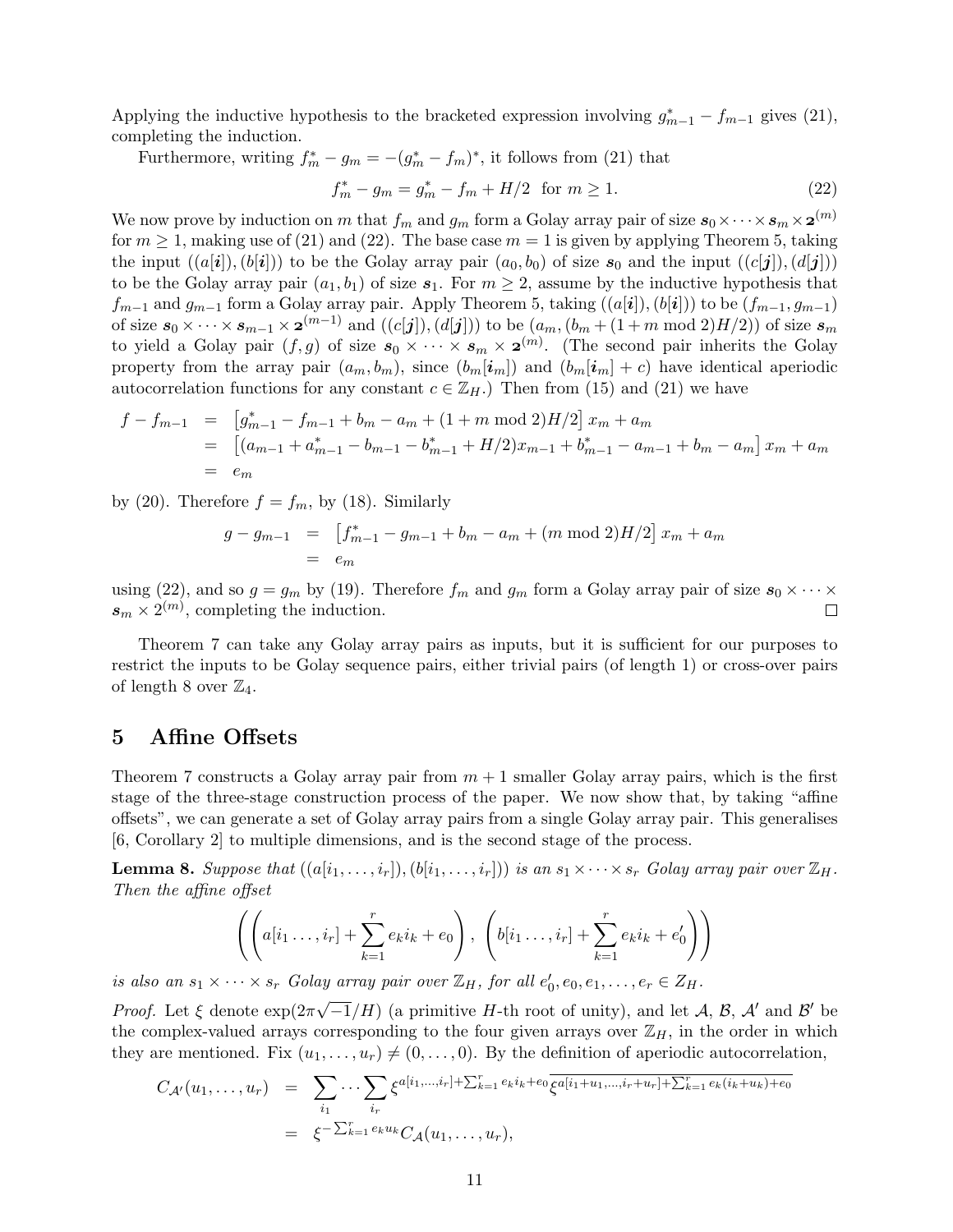Applying the inductive hypothesis to the bracketed expression involving  $g_{m-1}^* - f_{m-1}$  gives (21), completing the induction.

Furthermore, writing  $f_m^* - g_m = -(g_m^* - f_m)^*$ , it follows from (21) that

$$
f_m^* - g_m = g_m^* - f_m + H/2 \text{ for } m \ge 1.
$$
 (22)

We now prove by induction on m that  $f_m$  and  $g_m$  form a Golay array pair of size  $s_0 \times \cdots \times s_m \times \mathbf{2}^{(m)}$ for  $m \geq 1$ , making use of (21) and (22). The base case  $m = 1$  is given by applying Theorem 5, taking the input  $((a[i]), (b[i]))$  to be the Golay array pair  $(a_0, b_0)$  of size  $s_0$  and the input  $((c[j]), (d[j]))$ to be the Golay array pair  $(a_1, b_1)$  of size  $s_1$ . For  $m \geq 2$ , assume by the inductive hypothesis that  $f_{m-1}$  and  $g_{m-1}$  form a Golay array pair. Apply Theorem 5, taking  $((a[i]), (b[i]))$  to be  $(f_{m-1}, g_{m-1})$ of size  $s_0 \times \cdots \times s_{m-1} \times \mathbf{2}^{(m-1)}$  and  $((c[j]),(d[j]))$  to be  $(a_m,(b_m+(1+m \bmod 2)H/2))$  of size  $s_m$ to yield a Golay pair  $(f, g)$  of size  $s_0 \times \cdots \times s_m \times \mathbf{2}^{(m)}$ . (The second pair inherits the Golay property from the array pair  $(a_m, b_m)$ , since  $(b_m[i_m])$  and  $(b_m[i_m] + c)$  have identical aperiodic autocorrelation functions for any constant  $c \in \mathbb{Z}_H$ .) Then from (15) and (21) we have

$$
f - f_{m-1} = \left[ g_{m-1}^* - f_{m-1} + b_m - a_m + (1 + m \mod 2)H/2 \right] x_m + a_m
$$
  
=  $\left[ (a_{m-1} + a_{m-1}^* - b_{m-1} - b_{m-1}^* + H/2) x_{m-1} + b_{m-1}^* - a_{m-1} + b_m - a_m \right] x_m + a_m$   
=  $e_m$ 

by (20). Therefore  $f = f_m$ , by (18). Similarly

$$
g - g_{m-1} = \left[ f_{m-1}^* - g_{m-1} + b_m - a_m + (m \mod 2)H/2 \right] x_m + a_m
$$
  
=  $e_m$ 

using (22), and so  $g = g_m$  by (19). Therefore  $f_m$  and  $g_m$  form a Golay array pair of size  $s_0 \times \cdots \times$  $s_m \times 2^{(m)}$ , completing the induction. П

Theorem 7 can take any Golay array pairs as inputs, but it is sufficient for our purposes to restrict the inputs to be Golay sequence pairs, either trivial pairs (of length 1) or cross-over pairs of length 8 over  $\mathbb{Z}_4$ .

#### 5 Affine Offsets

Theorem 7 constructs a Golay array pair from  $m + 1$  smaller Golay array pairs, which is the first stage of the three-stage construction process of the paper. We now show that, by taking "affine offsets", we can generate a set of Golay array pairs from a single Golay array pair. This generalises [6, Corollary 2] to multiple dimensions, and is the second stage of the process.

**Lemma 8.** Suppose that  $((a[i_1, \ldots, i_r]), (b[i_1, \ldots, i_r]))$  is an  $s_1 \times \cdots \times s_r$  Golay array pair over  $\mathbb{Z}_H$ . Then the affine offset

$$
\left( \left( a[i_1 \ldots, i_r] + \sum_{k=1}^r e_k i_k + e_0 \right), \ \left( b[i_1 \ldots, i_r] + \sum_{k=1}^r e_k i_k + e'_0 \right) \right)
$$

is also an  $s_1 \times \cdots \times s_r$  Golay array pair over  $\mathbb{Z}_H$ , for all  $e'_0, e_0, e_1, \ldots, e_r \in Z_H$ .

*Proof.* Let  $\xi$  denote  $\exp(2\pi\theta)$  $\sqrt{-1}/H$ ) (a primitive H-th root of unity), and let A, B, A' and B' be the complex-valued arrays corresponding to the four given arrays over  $\mathbb{Z}_H$ , in the order in which they are mentioned. Fix  $(u_1, \ldots, u_r) \neq (0, \ldots, 0)$ . By the definition of aperiodic autocorrelation,

$$
C_{\mathcal{A}'}(u_1,\ldots,u_r) = \sum_{i_1} \cdots \sum_{i_r} \xi^{a[i_1,\ldots,i_r] + \sum_{k=1}^r e_k i_k + e_0} \overline{\xi^{a[i_1+u_1,\ldots,i_r+u_r] + \sum_{k=1}^r e_k (i_k+u_k) + e_0}}
$$
  
=  $\xi^{-\sum_{k=1}^r e_k u_k} C_{\mathcal{A}}(u_1,\ldots,u_r),$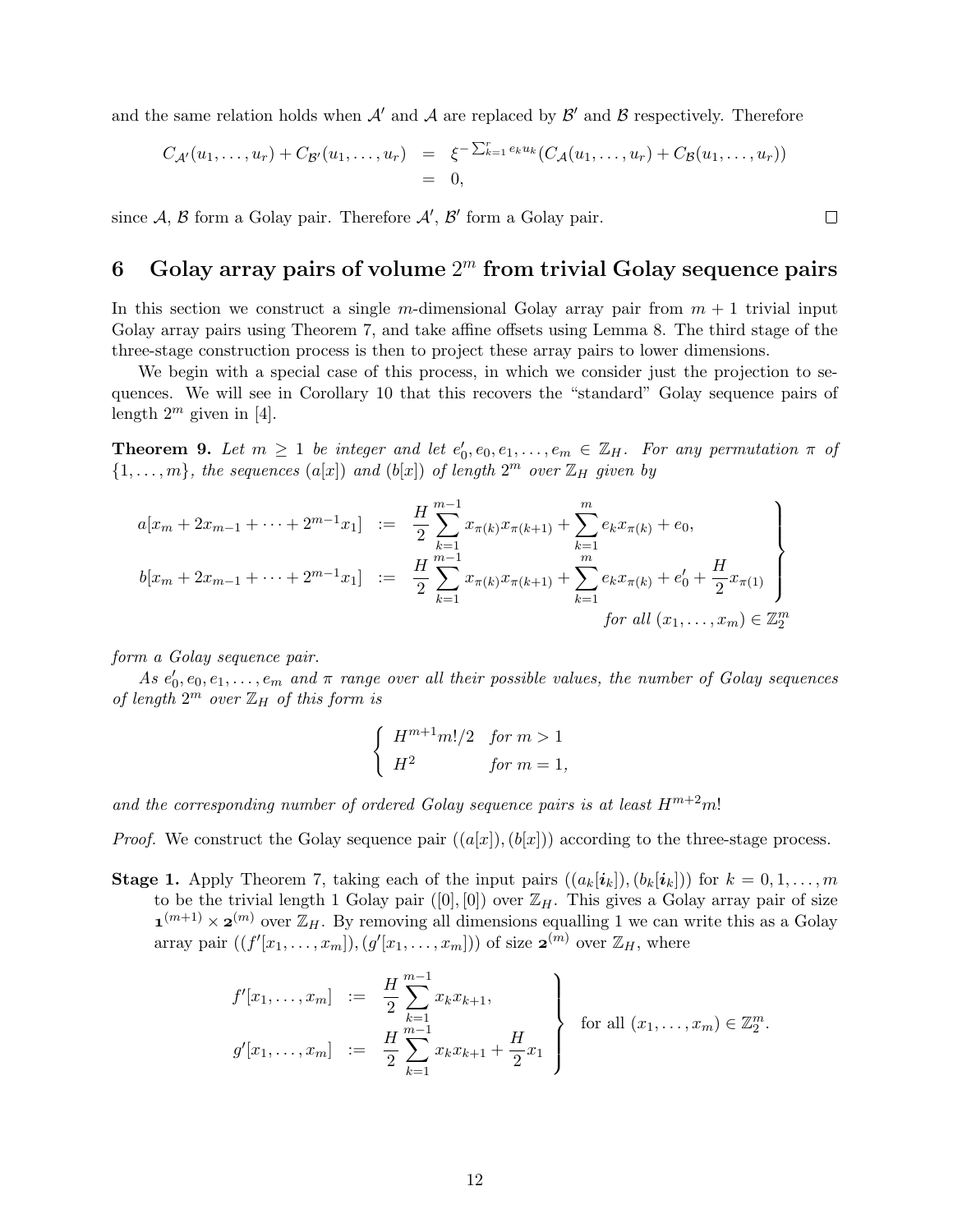and the same relation holds when  $\mathcal{A}'$  and  $\mathcal{A}$  are replaced by  $\mathcal{B}'$  and  $\mathcal{B}$  respectively. Therefore

$$
C_{\mathcal{A}'}(u_1,\ldots,u_r) + C_{\mathcal{B}'}(u_1,\ldots,u_r) = \xi^{-\sum_{k=1}^r e_k u_k} (C_{\mathcal{A}}(u_1,\ldots,u_r) + C_{\mathcal{B}}(u_1,\ldots,u_r))
$$
  
= 0,

since  $A, B$  form a Golay pair. Therefore  $A', B'$  form a Golay pair.

## 6 Golay array pairs of volume  $2^m$  from trivial Golay sequence pairs

In this section we construct a single m-dimensional Golay array pair from  $m + 1$  trivial input Golay array pairs using Theorem 7, and take affine offsets using Lemma 8. The third stage of the three-stage construction process is then to project these array pairs to lower dimensions.

We begin with a special case of this process, in which we consider just the projection to sequences. We will see in Corollary 10 that this recovers the "standard" Golay sequence pairs of length  $2^m$  given in [4].

**Theorem 9.** Let  $m \geq 1$  be integer and let  $e'_0, e_0, e_1, \ldots, e_m \in \mathbb{Z}_H$ . For any permutation  $\pi$  of  $\{1,\ldots,m\}$ , the sequences  $(a[x])$  and  $(b[x])$  of length  $2^m$  over  $\mathbb{Z}_H$  given by

$$
a[x_m + 2x_{m-1} + \dots + 2^{m-1}x_1] := \frac{H}{2} \sum_{k=1}^{m-1} x_{\pi(k)} x_{\pi(k+1)} + \sum_{k=1}^m e_k x_{\pi(k)} + e_0,
$$
  
\n
$$
b[x_m + 2x_{m-1} + \dots + 2^{m-1}x_1] := \frac{H}{2} \sum_{k=1}^{m-1} x_{\pi(k)} x_{\pi(k+1)} + \sum_{k=1}^m e_k x_{\pi(k)} + e'_0 + \frac{H}{2} x_{\pi(1)} \}
$$
  
\nfor all  $(x_1, \dots, x_m) \in \mathbb{Z}_2^m$ 

form a Golay sequence pair.

As  $e'_0, e_0, e_1, \ldots, e_m$  and  $\pi$  range over all their possible values, the number of Golay sequences of length  $2^m$  over  $\mathbb{Z}_H$  of this form is

$$
\begin{cases}\nH^{m+1}m!/2 & \text{for } m > 1 \\
H^2 & \text{for } m = 1,\n\end{cases}
$$

and the corresponding number of ordered Golay sequence pairs is at least  $H^{m+2}m!$ 

*Proof.* We construct the Golay sequence pair  $((a[x]), (b[x]))$  according to the three-stage process.

**Stage 1.** Apply Theorem 7, taking each of the input pairs  $((a_k[i_k]), (b_k[i_k]))$  for  $k = 0, 1, ..., m$ to be the trivial length 1 Golay pair ([0], [0]) over  $\mathbb{Z}_H$ . This gives a Golay array pair of size  $\mathbf{1}^{(m+1)} \times \mathbf{2}^{(m)}$  over  $\mathbb{Z}_H$ . By removing all dimensions equalling 1 we can write this as a Golay array pair  $((f'[x_1, \ldots, x_m]), (g'[x_1, \ldots, x_m]))$  of size  $\mathbf{z}^{(m)}$  over  $\mathbb{Z}_H$ , where

$$
f'[x_1, \ldots, x_m] := \frac{H}{2} \sum_{k=1}^{m-1} x_k x_{k+1},
$$
  
\n
$$
g'[x_1, \ldots, x_m] := \frac{H}{2} \sum_{k=1}^{m-1} x_k x_{k+1} + \frac{H}{2} x_1
$$
 for all  $(x_1, \ldots, x_m) \in \mathbb{Z}_2^m$ .

 $\Box$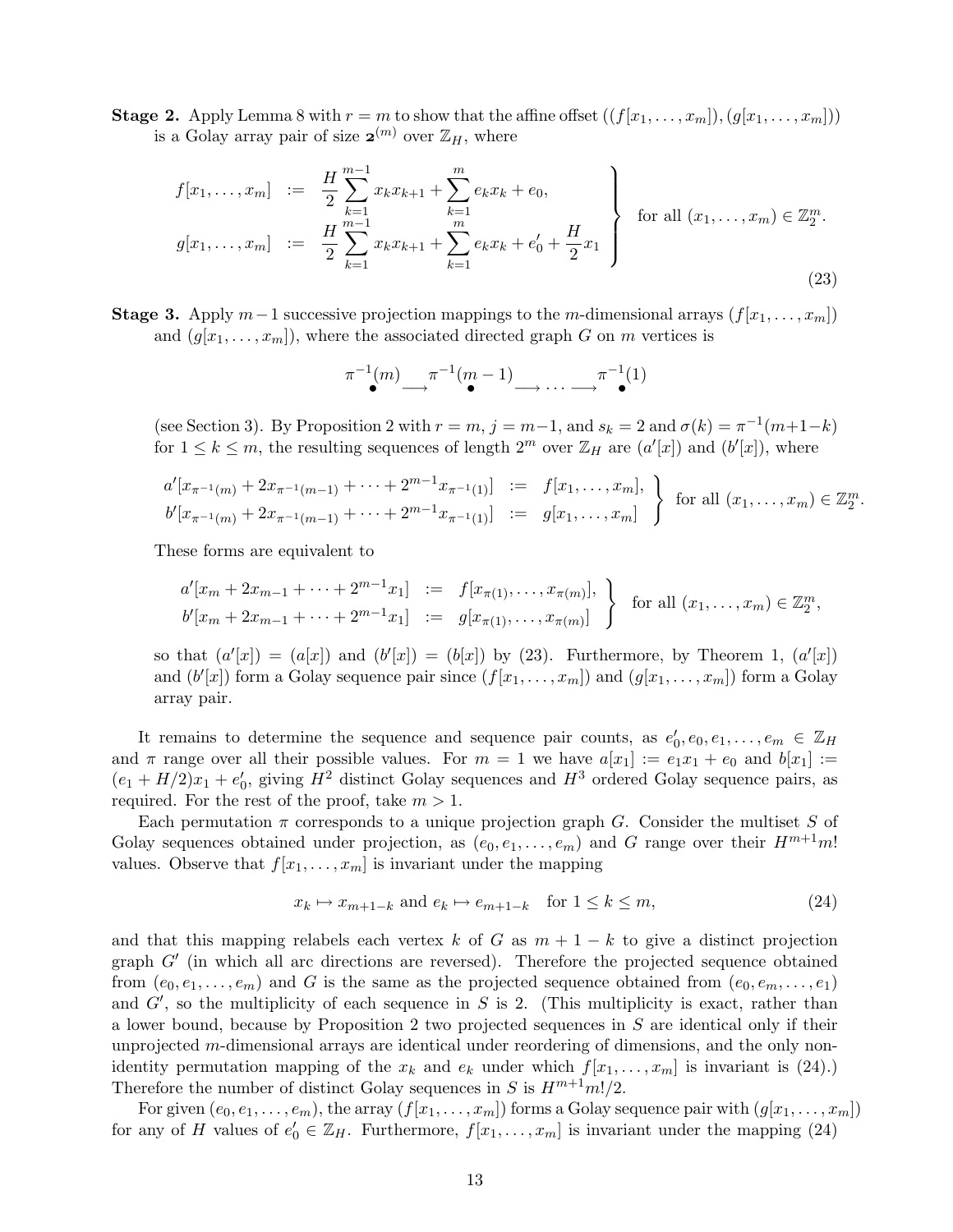**Stage 2.** Apply Lemma 8 with  $r = m$  to show that the affine offset  $((f[x_1, \ldots, x_m]), (g[x_1, \ldots, x_m]))$ is a Golay array pair of size  $\mathbf{z}^{(m)}$  over  $\mathbb{Z}_H$ , where

$$
f[x_1, \ldots, x_m] := \frac{H}{2} \sum_{k=1}^{m-1} x_k x_{k+1} + \sum_{k=1}^m e_k x_k + e_0,
$$
  
\n
$$
g[x_1, \ldots, x_m] := \frac{H}{2} \sum_{k=1}^{m-1} x_k x_{k+1} + \sum_{k=1}^m e_k x_k + e'_0 + \frac{H}{2} x_1
$$
 for all  $(x_1, \ldots, x_m) \in \mathbb{Z}_2^m$ . (23)

**Stage 3.** Apply  $m-1$  successive projection mappings to the m-dimensional arrays  $(f[x_1, \ldots, x_m])$ and  $(g[x_1, \ldots, x_m])$ , where the associated directed graph G on m vertices is

$$
\pi^{-1}(m) \xrightarrow{\pi^{-1}(m-1)} \cdots \xrightarrow{\pi^{-1}(1)}
$$

(see Section 3). By Proposition 2 with  $r = m$ ,  $j = m-1$ , and  $s_k = 2$  and  $\sigma(k) = \pi^{-1}(m+1-k)$ for  $1 \leq k \leq m$ , the resulting sequences of length  $2^m$  over  $\mathbb{Z}_H$  are  $(a'[x])$  and  $(b'[x])$ , where

$$
a'[x_{\pi^{-1}(m)} + 2x_{\pi^{-1}(m-1)} + \cdots + 2^{m-1}x_{\pi^{-1}(1)}] := f[x_1, \ldots, x_m],
$$
  
\n
$$
b'[x_{\pi^{-1}(m)} + 2x_{\pi^{-1}(m-1)} + \cdots + 2^{m-1}x_{\pi^{-1}(1)}] := g[x_1, \ldots, x_m]
$$
 for all  $(x_1, \ldots, x_m) \in \mathbb{Z}_2^m$ .

These forms are equivalent to

$$
a'[x_m + 2x_{m-1} + \cdots + 2^{m-1}x_1] := f[x_{\pi(1)}, \ldots, x_{\pi(m)}],
$$
  
\n
$$
b'[x_m + 2x_{m-1} + \cdots + 2^{m-1}x_1] := g[x_{\pi(1)}, \ldots, x_{\pi(m)}]
$$
 for all  $(x_1, \ldots, x_m) \in \mathbb{Z}_2^m$ ,

so that  $(a'[x]) = (a[x])$  and  $(b'[x]) = (b[x])$  by (23). Furthermore, by Theorem 1,  $(a'[x])$ and  $(b'[x])$  form a Golay sequence pair since  $(f[x_1, \ldots, x_m])$  and  $(g[x_1, \ldots, x_m])$  form a Golay array pair.

It remains to determine the sequence and sequence pair counts, as  $e'_0, e_0, e_1, \ldots, e_m \in \mathbb{Z}_H$ and  $\pi$  range over all their possible values. For  $m = 1$  we have  $a[x_1] := e_1x_1 + e_0$  and  $b[x_1] :=$  $(e_1 + H/2)x_1 + e'_0$ , giving  $H^2$  distinct Golay sequences and  $H^3$  ordered Golay sequence pairs, as required. For the rest of the proof, take  $m > 1$ .

Each permutation  $\pi$  corresponds to a unique projection graph G. Consider the multiset S of Golay sequences obtained under projection, as  $(e_0, e_1, \ldots, e_m)$  and G range over their  $H^{m+1}m!$ values. Observe that  $f[x_1, \ldots, x_m]$  is invariant under the mapping

$$
x_k \mapsto x_{m+1-k} \text{ and } e_k \mapsto e_{m+1-k} \quad \text{for } 1 \le k \le m,
$$
\n
$$
(24)
$$

and that this mapping relabels each vertex k of G as  $m + 1 - k$  to give a distinct projection graph  $G'$  (in which all arc directions are reversed). Therefore the projected sequence obtained from  $(e_0, e_1, \ldots, e_m)$  and G is the same as the projected sequence obtained from  $(e_0, e_m, \ldots, e_1)$ and  $G'$ , so the multiplicity of each sequence in S is 2. (This multiplicity is exact, rather than a lower bound, because by Proposition 2 two projected sequences in S are identical only if their unprojected m-dimensional arrays are identical under reordering of dimensions, and the only nonidentity permutation mapping of the  $x_k$  and  $e_k$  under which  $f[x_1, \ldots, x_m]$  is invariant is (24).) Therefore the number of distinct Golay sequences in S is  $H^{m+1}m!/2$ .

For given  $(e_0, e_1, \ldots, e_m)$ , the array  $(f[x_1, \ldots, x_m])$  forms a Golay sequence pair with  $(g[x_1, \ldots, x_m])$ for any of H values of  $e'_0 \in \mathbb{Z}_H$ . Furthermore,  $f[x_1, \ldots, x_m]$  is invariant under the mapping (24)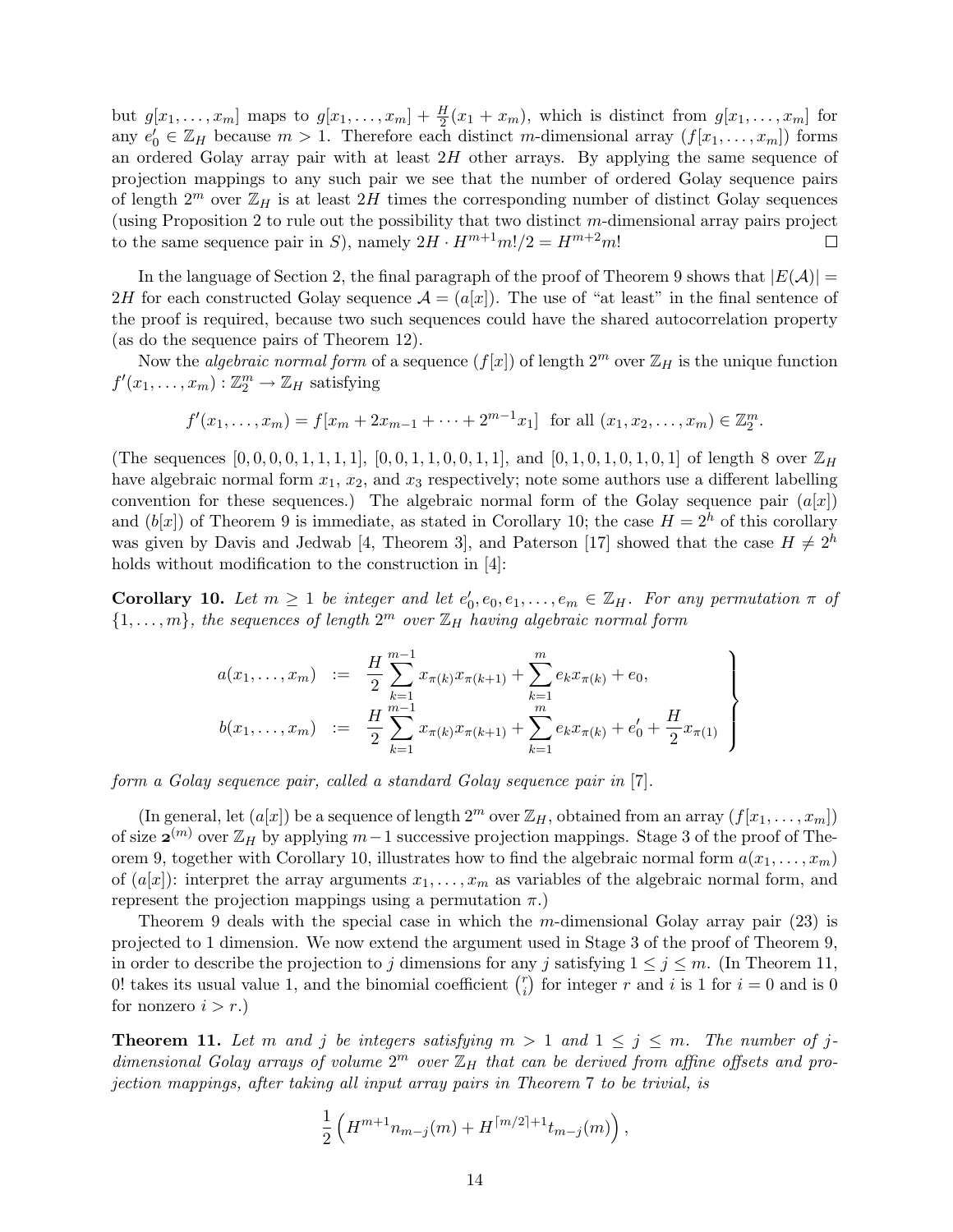but  $g[x_1, \ldots, x_m]$  maps to  $g[x_1, \ldots, x_m] + \frac{H}{2}(x_1 + x_m)$ , which is distinct from  $g[x_1, \ldots, x_m]$  for any  $e'_0 \in \mathbb{Z}_H$  because  $m > 1$ . Therefore each distinct m-dimensional array  $(f[x_1, \ldots, x_m])$  forms an ordered Golay array pair with at least  $2H$  other arrays. By applying the same sequence of projection mappings to any such pair we see that the number of ordered Golay sequence pairs of length  $2^m$  over  $\mathbb{Z}_H$  is at least  $2H$  times the corresponding number of distinct Golay sequences (using Proposition 2 to rule out the possibility that two distinct m-dimensional array pairs project to the same sequence pair in S), namely  $2H \cdot H^{m+1}m!/2 = H^{m+2}m!$  $\Box$ 

In the language of Section 2, the final paragraph of the proof of Theorem 9 shows that  $|E(A)| =$ 2H for each constructed Golay sequence  $\mathcal{A} = (a[x])$ . The use of "at least" in the final sentence of the proof is required, because two such sequences could have the shared autocorrelation property (as do the sequence pairs of Theorem 12).

Now the *algebraic normal form* of a sequence  $(f[x])$  of length  $2^m$  over  $\mathbb{Z}_H$  is the unique function  $f'(x_1,\ldots,x_m): \mathbb{Z}_2^m \to \mathbb{Z}_H$  satisfying

$$
f'(x_1,...,x_m) = f[x_m + 2x_{m-1} + \cdots + 2^{m-1}x_1]
$$
 for all  $(x_1, x_2,...,x_m) \in \mathbb{Z}_2^m$ .

(The sequences  $[0, 0, 0, 0, 1, 1, 1, 1]$ ,  $[0, 0, 1, 1, 0, 0, 1, 1]$ , and  $[0, 1, 0, 1, 0, 1, 0, 1]$  of length 8 over  $\mathbb{Z}_H$ have algebraic normal form  $x_1, x_2$ , and  $x_3$  respectively; note some authors use a different labelling convention for these sequences.) The algebraic normal form of the Golay sequence pair  $(a|x)$ and  $(bx)$  of Theorem 9 is immediate, as stated in Corollary 10; the case  $H = 2<sup>h</sup>$  of this corollary was given by Davis and Jedwab [4, Theorem 3], and Paterson [17] showed that the case  $H \neq 2^h$ holds without modification to the construction in [4]:

**Corollary 10.** Let  $m \geq 1$  be integer and let  $e'_0, e_0, e_1, \ldots, e_m \in \mathbb{Z}_H$ . For any permutation  $\pi$  of  $\{1,\ldots,m\}$ , the sequences of length  $2^m$  over  $\mathbb{Z}_H$  having algebraic normal form

$$
a(x_1, \ldots, x_m) := \frac{H}{2} \sum_{k=1}^{m-1} x_{\pi(k)} x_{\pi(k+1)} + \sum_{k=1}^m e_k x_{\pi(k)} + e_0,
$$
  
\n
$$
b(x_1, \ldots, x_m) := \frac{H}{2} \sum_{k=1}^{m-1} x_{\pi(k)} x_{\pi(k+1)} + \sum_{k=1}^m e_k x_{\pi(k)} + e'_0 + \frac{H}{2} x_{\pi(1)}
$$

form a Golay sequence pair, called a standard Golay sequence pair in [7].

(In general, let  $(a[x])$  be a sequence of length  $2^m$  over  $\mathbb{Z}_H$ , obtained from an array  $(f[x_1, \ldots, x_m])$ of size  $\mathbf{z}^{(m)}$  over  $\mathbb{Z}_H$  by applying  $m-1$  successive projection mappings. Stage 3 of the proof of Theorem 9, together with Corollary 10, illustrates how to find the algebraic normal form  $a(x_1, \ldots, x_m)$ of  $(a[x])$ : interpret the array arguments  $x_1, \ldots, x_m$  as variables of the algebraic normal form, and represent the projection mappings using a permutation  $\pi$ .)

Theorem 9 deals with the special case in which the m-dimensional Golay array pair (23) is projected to 1 dimension. We now extend the argument used in Stage 3 of the proof of Theorem 9, in order to describe the projection to j dimensions for any j satisfying  $1 \le j \le m$ . (In Theorem 11, 0! takes its usual value 1, and the binomial coefficient  $\binom{r}{i}$  $i$ ) for integer r and i is 1 for  $i = 0$  and is 0 for nonzero  $i > r$ .)

**Theorem 11.** Let m and j be integers satisfying  $m > 1$  and  $1 \le j \le m$ . The number of jdimensional Golay arrays of volume  $2^m$  over  $\mathbb{Z}_H$  that can be derived from affine offsets and projection mappings, after taking all input array pairs in Theorem 7 to be trivial, is

$$
\frac{1}{2}\left(H^{m+1}n_{m-j}(m) + H^{\lceil m/2 \rceil + 1}t_{m-j}(m)\right),\,
$$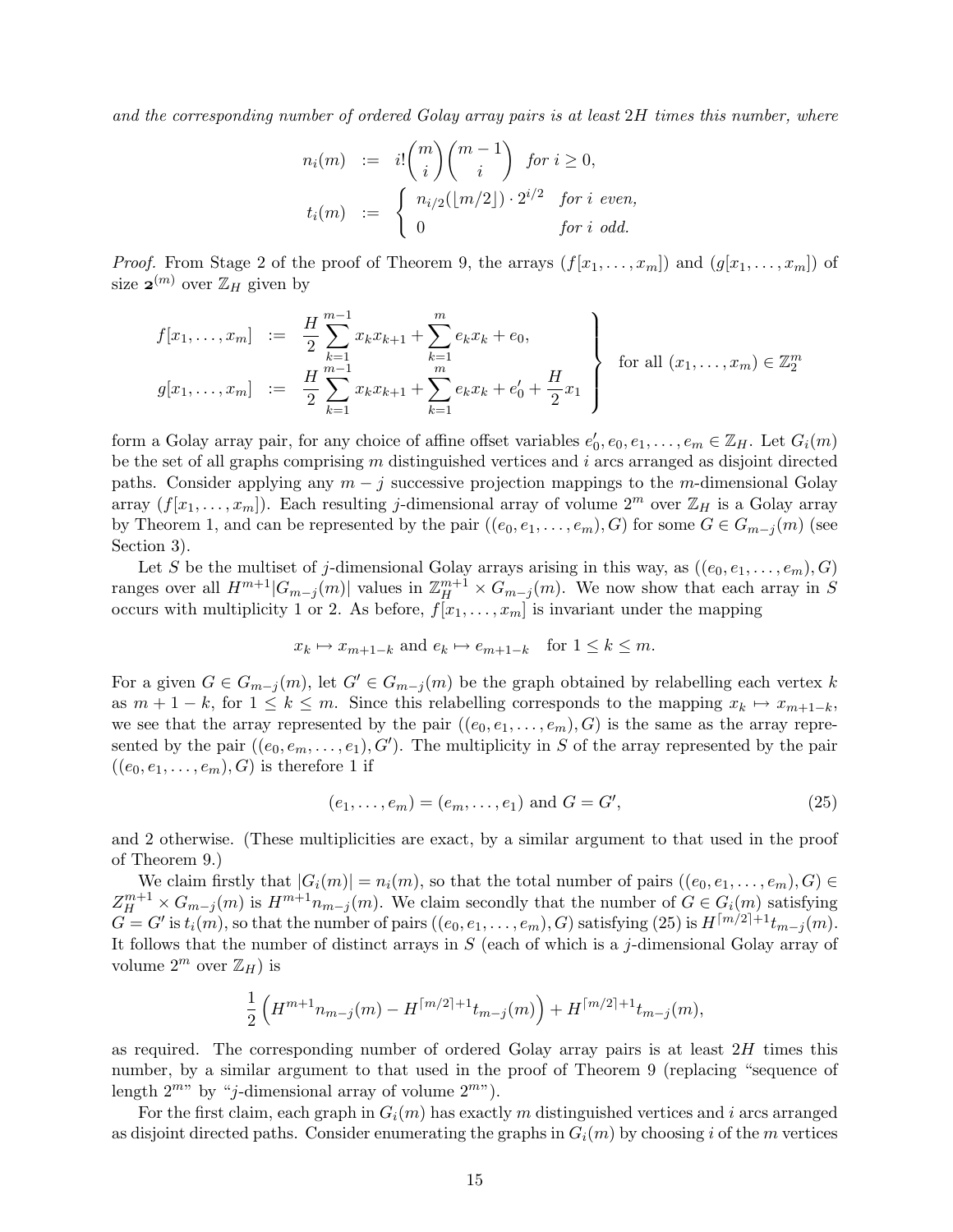and the corresponding number of ordered Golay array pairs is at least  $2H$  times this number, where

$$
n_i(m) := i! \binom{m}{i} \binom{m-1}{i} \text{ for } i \ge 0,
$$
  

$$
t_i(m) := \begin{cases} n_{i/2}(\lfloor m/2 \rfloor) \cdot 2^{i/2} & \text{for } i \text{ even,} \\ 0 & \text{for } i \text{ odd.} \end{cases}
$$

*Proof.* From Stage 2 of the proof of Theorem 9, the arrays  $(f[x_1, \ldots, x_m])$  and  $(g[x_1, \ldots, x_m])$  of size  $\mathbf{z}^{(m)}$  over  $\mathbb{Z}_H$  given by

$$
f[x_1, \ldots, x_m] := \frac{H}{2} \sum_{k=1}^{m-1} x_k x_{k+1} + \sum_{k=1}^m e_k x_k + e_0,
$$
  
\n
$$
g[x_1, \ldots, x_m] := \frac{H}{2} \sum_{k=1}^{m-1} x_k x_{k+1} + \sum_{k=1}^m e_k x_k + e'_0 + \frac{H}{2} x_1
$$
 for all  $(x_1, \ldots, x_m) \in \mathbb{Z}_2^m$ 

form a Golay array pair, for any choice of affine offset variables  $e'_0, e_0, e_1, \ldots, e_m \in \mathbb{Z}_H$ . Let  $G_i(m)$ be the set of all graphs comprising  $m$  distinguished vertices and  $i$  arcs arranged as disjoint directed paths. Consider applying any  $m - j$  successive projection mappings to the m-dimensional Golay array  $(f[x_1, \ldots, x_m])$ . Each resulting j-dimensional array of volume  $2^m$  over  $\mathbb{Z}_H$  is a Golay array by Theorem 1, and can be represented by the pair  $((e_0, e_1, \ldots, e_m), G)$  for some  $G \in G_{m-j}(m)$  (see Section 3).

Let S be the multiset of j-dimensional Golay arrays arising in this way, as  $((e_0, e_1, \ldots, e_m), G)$ ranges over all  $H^{m+1}|G_{m-j}(m)|$  values in  $\mathbb{Z}_{H}^{m+1}\times G_{m-j}(m)$ . We now show that each array in S occurs with multiplicity 1 or 2. As before,  $f[x_1, \ldots, x_m]$  is invariant under the mapping

$$
x_k \mapsto x_{m+1-k}
$$
 and  $e_k \mapsto e_{m+1-k}$  for  $1 \le k \le m$ .

For a given  $G \in G_{m-j}(m)$ , let  $G' \in G_{m-j}(m)$  be the graph obtained by relabelling each vertex k as  $m + 1 - k$ , for  $1 \leq k \leq m$ . Since this relabelling corresponds to the mapping  $x_k \mapsto x_{m+1-k}$ , we see that the array represented by the pair  $((e_0, e_1, \ldots, e_m), G)$  is the same as the array represented by the pair  $((e_0, e_m, \ldots, e_1), G')$ . The multiplicity in S of the array represented by the pair  $((e_0, e_1, \ldots, e_m), G)$  is therefore 1 if

$$
(e_1, \ldots, e_m) = (e_m, \ldots, e_1) \text{ and } G = G', \tag{25}
$$

and 2 otherwise. (These multiplicities are exact, by a similar argument to that used in the proof of Theorem 9.)

We claim firstly that  $|G_i(m)| = n_i(m)$ , so that the total number of pairs  $((e_0, e_1, \ldots, e_m), G) \in$  $Z_{H}^{m+1} \times G_{m-j}(m)$  is  $H^{m+1}n_{m-j}(m)$ . We claim secondly that the number of  $G \in G_i(m)$  satisfying  $G = G'$  is  $t_i(m)$ , so that the number of pairs  $((e_0, e_1, \ldots, e_m), G)$  satisfying  $(25)$  is  $H^{\lceil m/2 \rceil + 1}t_{m-j}(m)$ . It follows that the number of distinct arrays in  $S$  (each of which is a j-dimensional Golay array of volume  $2^m$  over  $\mathbb{Z}_H$ ) is

$$
\frac{1}{2}\left(H^{m+1}n_{m-j}(m) - H^{\lceil m/2 \rceil + 1}t_{m-j}(m)\right) + H^{\lceil m/2 \rceil + 1}t_{m-j}(m),
$$

as required. The corresponding number of ordered Golay array pairs is at least  $2H$  times this number, by a similar argument to that used in the proof of Theorem 9 (replacing "sequence of length  $2^{m}$ " by "j-dimensional array of volume  $2^{m}$ ").

For the first claim, each graph in  $G_i(m)$  has exactly m distinguished vertices and i arcs arranged as disjoint directed paths. Consider enumerating the graphs in  $G_i(m)$  by choosing i of the m vertices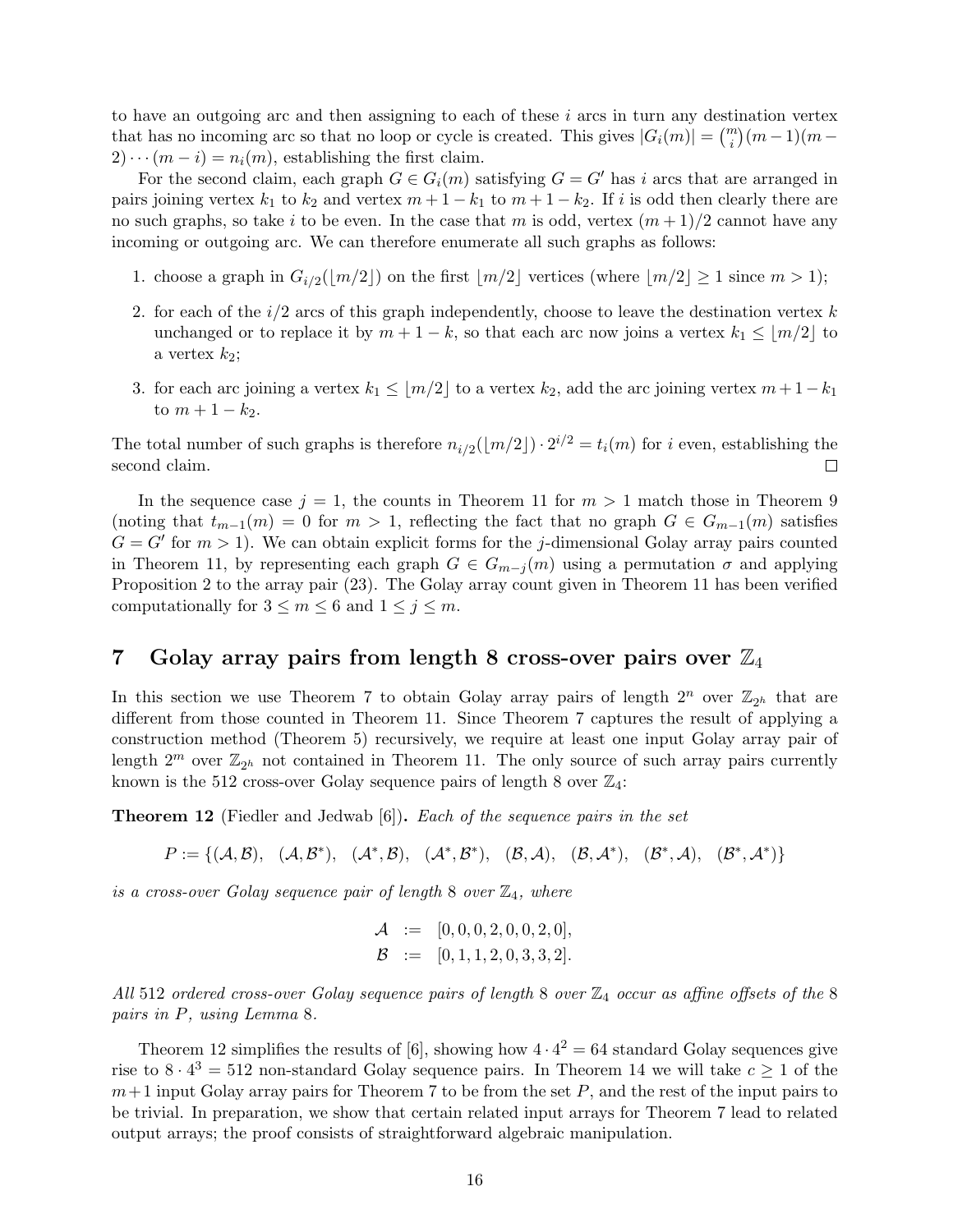to have an outgoing arc and then assigning to each of these  $i$  arcs in turn any destination vertex that has no incoming arc so that no loop or cycle is created. This gives  $|G_i(m)| = {m \choose i}(m-1)(m-1)$  $2) \cdots (m - i) = n_i(m)$ , establishing the first claim.

For the second claim, each graph  $G \in G_i(m)$  satisfying  $G = G'$  has i arcs that are arranged in pairs joining vertex  $k_1$  to  $k_2$  and vertex  $m + 1 - k_1$  to  $m + 1 - k_2$ . If i is odd then clearly there are no such graphs, so take i to be even. In the case that m is odd, vertex  $(m+1)/2$  cannot have any incoming or outgoing arc. We can therefore enumerate all such graphs as follows:

- 1. choose a graph in  $G_{i/2}(\lfloor m/2 \rfloor)$  on the first  $\lfloor m/2 \rfloor$  vertices (where  $\lfloor m/2 \rfloor \ge 1$  since  $m > 1$ );
- 2. for each of the  $i/2$  arcs of this graph independently, choose to leave the destination vertex k unchanged or to replace it by  $m + 1 - k$ , so that each arc now joins a vertex  $k_1 \le |m/2|$  to a vertex  $k_2$ ;
- 3. for each arc joining a vertex  $k_1 \le |m/2|$  to a vertex  $k_2$ , add the arc joining vertex  $m + 1 k_1$ to  $m + 1 - k_2$ .

The total number of such graphs is therefore  $n_{i/2}(\lfloor m/2 \rfloor) \cdot 2^{i/2} = t_i(m)$  for i even, establishing the second claim.  $\Box$ 

In the sequence case  $j = 1$ , the counts in Theorem 11 for  $m > 1$  match those in Theorem 9 (noting that  $t_{m-1}(m) = 0$  for  $m > 1$ , reflecting the fact that no graph  $G \in G_{m-1}(m)$  satisfies  $G = G'$  for  $m > 1$ ). We can obtain explicit forms for the j-dimensional Golay array pairs counted in Theorem 11, by representing each graph  $G \in G_{m-j}(m)$  using a permutation  $\sigma$  and applying Proposition 2 to the array pair (23). The Golay array count given in Theorem 11 has been verified computationally for  $3 \le m \le 6$  and  $1 \le j \le m$ .

### 7 Golay array pairs from length 8 cross-over pairs over  $\mathbb{Z}_4$

In this section we use Theorem 7 to obtain Golay array pairs of length  $2^n$  over  $\mathbb{Z}_{2^h}$  that are different from those counted in Theorem 11. Since Theorem 7 captures the result of applying a construction method (Theorem 5) recursively, we require at least one input Golay array pair of length  $2^m$  over  $\mathbb{Z}_{2^h}$  not contained in Theorem 11. The only source of such array pairs currently known is the 512 cross-over Golay sequence pairs of length 8 over  $\mathbb{Z}_4$ :

**Theorem 12** (Fiedler and Jedwab [6]). Each of the sequence pairs in the set

 $P := \{(\mathcal{A}, \mathcal{B}), \, (\mathcal{A}, \mathcal{B}^*), \, (\mathcal{A}^*, \mathcal{B}), \, (\mathcal{A}^*, \mathcal{B}^*), \, (\mathcal{B}, \mathcal{A}), \, (\mathcal{B}, \mathcal{A}^*), \, (\mathcal{B}^*, \mathcal{A}), \, (\mathcal{B}^*, \mathcal{A}^*)\}$ 

is a cross-over Golay sequence pair of length 8 over  $\mathbb{Z}_4$ , where

$$
\mathcal{A} := [0, 0, 0, 2, 0, 0, 2, 0],
$$
  

$$
\mathcal{B} := [0, 1, 1, 2, 0, 3, 3, 2].
$$

All 512 ordered cross-over Golay sequence pairs of length 8 over  $\mathbb{Z}_4$  occur as affine offsets of the 8 pairs in P, using Lemma 8.

Theorem 12 simplifies the results of [6], showing how  $4 \cdot 4^2 = 64$  standard Golay sequences give rise to  $8 \cdot 4^3 = 512$  non-standard Golay sequence pairs. In Theorem 14 we will take  $c \ge 1$  of the  $m+1$  input Golay array pairs for Theorem 7 to be from the set P, and the rest of the input pairs to be trivial. In preparation, we show that certain related input arrays for Theorem 7 lead to related output arrays; the proof consists of straightforward algebraic manipulation.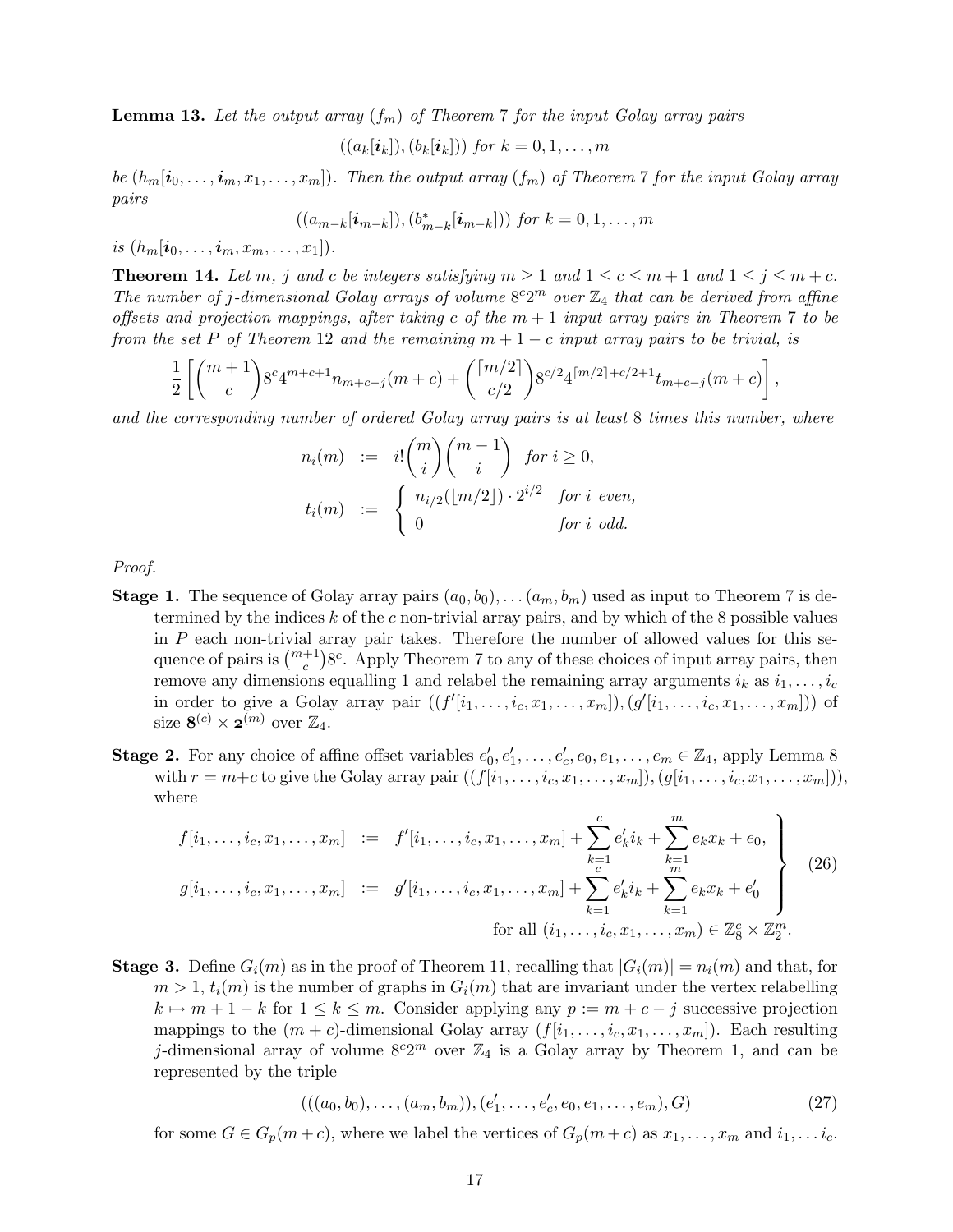**Lemma 13.** Let the output array  $(f_m)$  of Theorem 7 for the input Golay array pairs

$$
((a_k[\boldsymbol{i}_k]),(b_k[\boldsymbol{i}_k]))\text{ for }k=0,1,\ldots,m
$$

be  $(h_m[i_0, \ldots, i_m, x_1, \ldots, x_m])$ . Then the output array  $(f_m)$  of Theorem 7 for the input Golay array pairs

$$
((a_{m-k}[\boldsymbol{i}_{m-k}]), (b_{m-k}^*[\boldsymbol{i}_{m-k}]))
$$
 for  $k = 0, 1, ..., m$ 

is  $(h_m[i_0, \ldots, i_m, x_m, \ldots, x_1]).$ 

**Theorem 14.** Let m, j and c be integers satisfying  $m \ge 1$  and  $1 \le c \le m+1$  and  $1 \le j \le m+c$ . The number of j-dimensional Golay arrays of volume  $8^c2^m$  over  $\mathbb{Z}_4$  that can be derived from affine offsets and projection mappings, after taking c of the  $m + 1$  input array pairs in Theorem 7 to be from the set P of Theorem 12 and the remaining  $m + 1 - c$  input array pairs to be trivial, is

$$
\frac{1}{2}\left[ \binom{m+1}{c} 8^c 4^{m+c+1} n_{m+c-j}(m+c) + \binom{\lceil m/2 \rceil}{c/2} 8^{c/2} 4^{\lceil m/2 \rceil + c/2 + 1} t_{m+c-j}(m+c) \right],
$$

and the corresponding number of ordered Golay array pairs is at least 8 times this number, where

$$
n_i(m) := i! \binom{m}{i} \binom{m-1}{i} \text{ for } i \ge 0,
$$
  

$$
t_i(m) := \begin{cases} n_{i/2}(\lfloor m/2 \rfloor) \cdot 2^{i/2} & \text{for } i \text{ even,} \\ 0 & \text{for } i \text{ odd.} \end{cases}
$$

Proof.

- **Stage 1.** The sequence of Golay array pairs  $(a_0, b_0), \ldots (a_m, b_m)$  used as input to Theorem 7 is determined by the indices  $k$  of the c non-trivial array pairs, and by which of the  $8$  possible values in P each non-trivial array pair takes. Therefore the number of allowed values for this sequence of pairs is  $\binom{m+1}{c}8^c$ . Apply Theorem 7 to any of these choices of input array pairs, then remove any dimensions equalling 1 and relabel the remaining array arguments  $i_k$  as  $i_1, \ldots, i_c$ in order to give a Golay array pair  $((f'[i_1,\ldots,i_c,x_1,\ldots,x_m]),(g'[i_1,\ldots,i_c,x_1,\ldots,x_m]))$  of size  $\mathbf{8}^{(c)} \times \mathbf{2}^{(m)}$  over  $\mathbb{Z}_4$ .
- **Stage 2.** For any choice of affine offset variables  $e'_0, e'_1, \ldots, e'_c, e_0, e_1, \ldots, e_m \in \mathbb{Z}_4$ , apply Lemma 8 with  $r = m+c$  to give the Golay array pair  $((f[i_1, \ldots, i_c, x_1, \ldots, x_m]), (g[i_1, \ldots, i_c, x_1, \ldots, x_m]))$ , where

$$
f[i_1, \ldots, i_c, x_1, \ldots, x_m] := f'[i_1, \ldots, i_c, x_1, \ldots, x_m] + \sum_{\substack{k=1 \ c}}^c e'_k i_k + \sum_{\substack{k=1 \ m}}^m e_k x_k + e_0,
$$
  
\n
$$
g[i_1, \ldots, i_c, x_1, \ldots, x_m] := g'[i_1, \ldots, i_c, x_1, \ldots, x_m] + \sum_{\substack{k=1 \ k \equiv 1}}^c e'_k i_k + \sum_{\substack{k=1 \ k \equiv 1}}^m e_k x_k + e'_0
$$
  
\nfor all  $(i_1, \ldots, i_c, x_1, \ldots, x_m) \in \mathbb{Z}_8^c \times \mathbb{Z}_2^m$ . (26)

**Stage 3.** Define  $G_i(m)$  as in the proof of Theorem 11, recalling that  $|G_i(m)| = n_i(m)$  and that, for  $m > 1$ ,  $t_i(m)$  is the number of graphs in  $G_i(m)$  that are invariant under the vertex relabelling  $k \mapsto m + 1 - k$  for  $1 \leq k \leq m$ . Consider applying any  $p := m + c - j$  successive projection mappings to the  $(m + c)$ -dimensional Golay array  $(f[i_1, \ldots, i_c, x_1, \ldots, x_m])$ . Each resulting j-dimensional array of volume  $8^c2^m$  over  $\mathbb{Z}_4$  is a Golay array by Theorem 1, and can be represented by the triple

$$
(((a_0, b_0), \dots, (a_m, b_m)), (e'_1, \dots, e'_c, e_0, e_1, \dots, e_m), G)
$$
\n
$$
(27)
$$

for some  $G \in G_p(m+c)$ , where we label the vertices of  $G_p(m+c)$  as  $x_1, \ldots, x_m$  and  $i_1, \ldots i_c$ .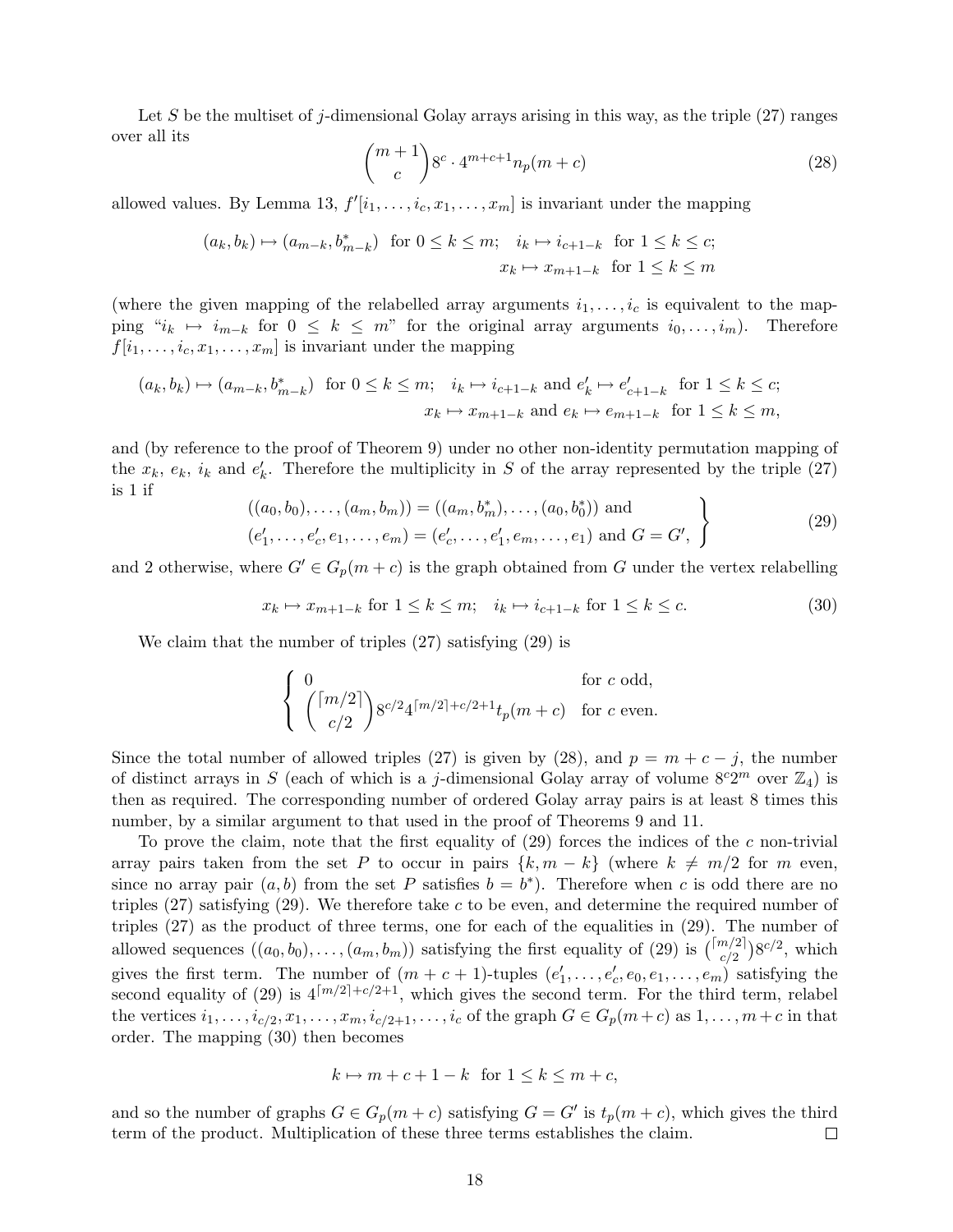Let S be the multiset of j-dimensional Golay arrays arising in this way, as the triple  $(27)$  ranges over all its

$$
\binom{m+1}{c} 8^c \cdot 4^{m+c+1} n_p(m+c) \tag{28}
$$

allowed values. By Lemma 13,  $f'[i_1, \ldots, i_c, x_1, \ldots, x_m]$  is invariant under the mapping

$$
(a_k, b_k) \mapsto (a_{m-k}, b_{m-k}^*) \text{ for } 0 \le k \le m; \quad i_k \mapsto i_{c+1-k} \text{ for } 1 \le k \le c;
$$

$$
x_k \mapsto x_{m+1-k} \text{ for } 1 \le k \le m
$$

(where the given mapping of the relabelled array arguments  $i_1, \ldots, i_c$  is equivalent to the mapping " $i_k \mapsto i_{m-k}$  for  $0 \leq k \leq m$ " for the original array arguments  $i_0, \ldots, i_m$ ). Therefore  $f[i_1, \ldots, i_c, x_1, \ldots, x_m]$  is invariant under the mapping

$$
(a_k, b_k) \mapsto (a_{m-k}, b_{m-k}^*) \text{ for } 0 \le k \le m; \quad i_k \mapsto i_{c+1-k} \text{ and } e'_k \mapsto e'_{c+1-k} \text{ for } 1 \le k \le c;
$$

$$
x_k \mapsto x_{m+1-k} \text{ and } e_k \mapsto e_{m+1-k} \text{ for } 1 \le k \le m,
$$

and (by reference to the proof of Theorem 9) under no other non-identity permutation mapping of the  $x_k$ ,  $e_k$ ,  $i_k$  and  $e'_k$ . Therefore the multiplicity in S of the array represented by the triple (27) is 1 if

$$
((a_0, b_0), \dots, (a_m, b_m)) = ((a_m, b_m^*), \dots, (a_0, b_0^*))
$$
 and  

$$
(e'_1, \dots, e'_c, e_1, \dots, e_m) = (e'_c, \dots, e'_1, e_m, \dots, e_1)
$$
 and  $G = G',$  (29)

and 2 otherwise, where  $G' \in G_p(m+c)$  is the graph obtained from G under the vertex relabelling

$$
x_k \mapsto x_{m+1-k} \text{ for } 1 \le k \le m; \quad i_k \mapsto i_{c+1-k} \text{ for } 1 \le k \le c. \tag{30}
$$

We claim that the number of triples (27) satisfying (29) is

$$
\left\{ \begin{array}{ll} 0 & \textrm{for $c$ odd,} \\ \displaystyle \binom{\lceil m/2 \rceil}{c/2} 8^{c/2} 4^{\lceil m/2 \rceil + c/2 + 1} t_p(m+c) & \textrm{for $c$ even.} \end{array} \right.
$$

Since the total number of allowed triples (27) is given by (28), and  $p = m + c - j$ , the number of distinct arrays in S (each of which is a j-dimensional Golay array of volume  $8^c2^m$  over  $\mathbb{Z}_4$ ) is then as required. The corresponding number of ordered Golay array pairs is at least 8 times this number, by a similar argument to that used in the proof of Theorems 9 and 11.

To prove the claim, note that the first equality of  $(29)$  forces the indices of the c non-trivial array pairs taken from the set P to occur in pairs  $\{k, m - k\}$  (where  $k \neq m/2$  for m even, since no array pair  $(a, b)$  from the set P satisfies  $b = b^*$ ). Therefore when c is odd there are no triples  $(27)$  satisfying  $(29)$ . We therefore take c to be even, and determine the required number of triples (27) as the product of three terms, one for each of the equalities in (29). The number of allowed sequences  $((a_0, b_0), \ldots, (a_m, b_m))$  satisfying the first equality of (29) is  $\binom{[m/2]}{c/2}8^{c/2}$ , which gives the first term. The number of  $(m + c + 1)$ -tuples  $(e'_1, \ldots, e'_c, e_0, e_1, \ldots, e_m)$  satisfying the second equality of (29) is  $4^{\lceil m/2 \rceil + c/2+1}$ , which gives the second term. For the third term, relabel the vertices  $i_1, \ldots, i_{c/2}, x_1, \ldots, x_m, i_{c/2+1}, \ldots, i_c$  of the graph  $G \in G_p(m+c)$  as  $1, \ldots, m+c$  in that order. The mapping (30) then becomes

$$
k \mapsto m + c + 1 - k \text{ for } 1 \le k \le m + c,
$$

and so the number of graphs  $G \in G_p(m+c)$  satisfying  $G = G'$  is  $t_p(m+c)$ , which gives the third term of the product. Multiplication of these three terms establishes the claim.  $\Box$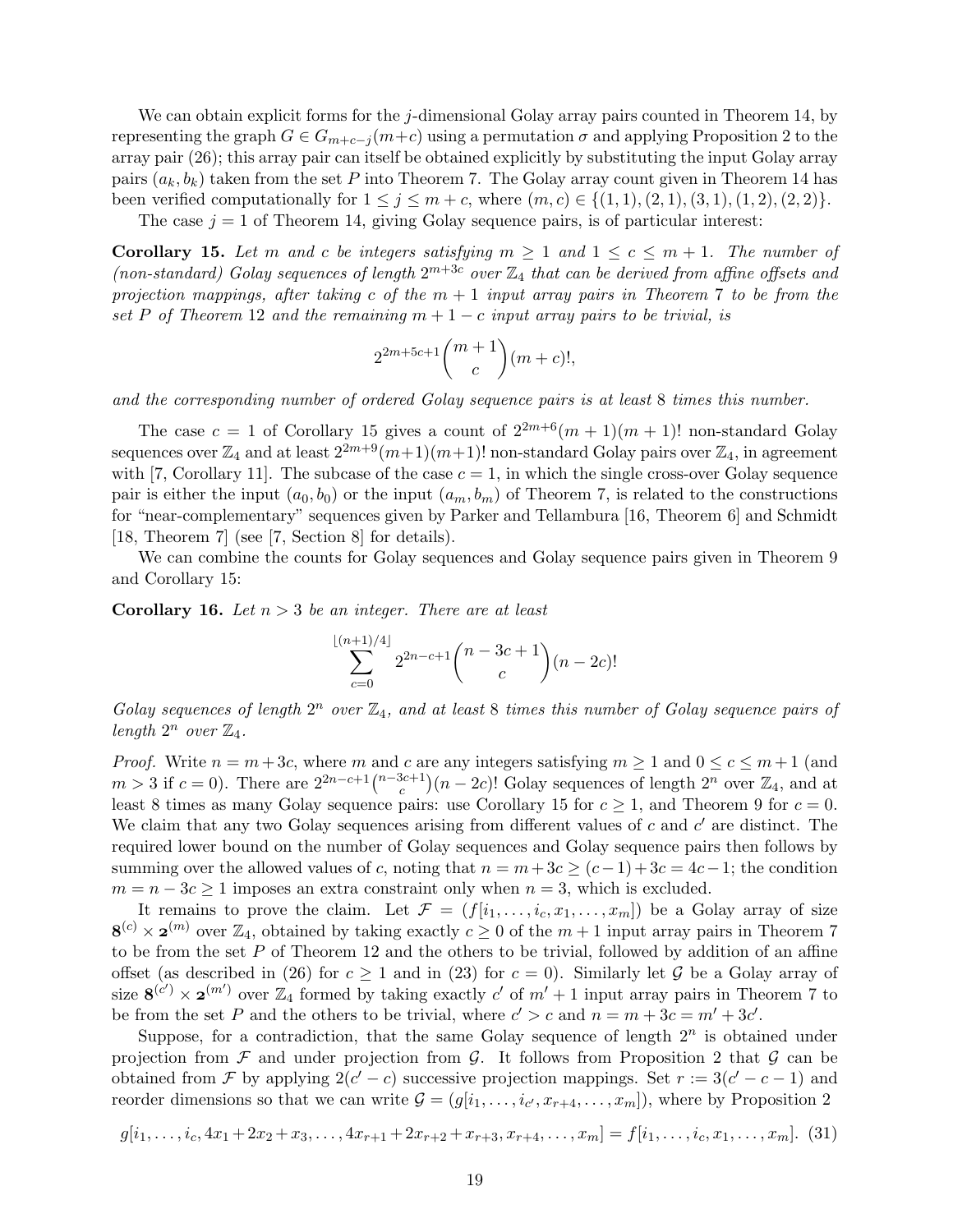We can obtain explicit forms for the j-dimensional Golay array pairs counted in Theorem 14, by representing the graph  $G \in G_{m+c-j}(m+c)$  using a permutation  $\sigma$  and applying Proposition 2 to the array pair (26); this array pair can itself be obtained explicitly by substituting the input Golay array pairs  $(a_k, b_k)$  taken from the set P into Theorem 7. The Golay array count given in Theorem 14 has been verified computationally for  $1 \leq j \leq m + c$ , where  $(m, c) \in \{(1, 1), (2, 1), (3, 1), (1, 2), (2, 2)\}.$ 

The case  $j = 1$  of Theorem 14, giving Golay sequence pairs, is of particular interest:

**Corollary 15.** Let m and c be integers satisfying  $m \geq 1$  and  $1 \leq c \leq m+1$ . The number of (non-standard) Golay sequences of length  $2^{m+3c}$  over  $\mathbb{Z}_4$  that can be derived from affine offsets and projection mappings, after taking c of the  $m + 1$  input array pairs in Theorem 7 to be from the set P of Theorem 12 and the remaining  $m + 1 - c$  input array pairs to be trivial, is

$$
2^{2m+5c+1} \binom{m+1}{c} (m+c)!,
$$

and the corresponding number of ordered Golay sequence pairs is at least 8 times this number.

The case  $c = 1$  of Corollary 15 gives a count of  $2^{2m+6}(m+1)(m+1)!$  non-standard Golay sequences over  $\mathbb{Z}_4$  and at least  $2^{2m+9}(m+1)(m+1)!$  non-standard Golay pairs over  $\mathbb{Z}_4$ , in agreement with [7, Corollary 11]. The subcase of the case  $c = 1$ , in which the single cross-over Golay sequence pair is either the input  $(a_0, b_0)$  or the input  $(a_m, b_m)$  of Theorem 7, is related to the constructions for "near-complementary" sequences given by Parker and Tellambura [16, Theorem 6] and Schmidt [18, Theorem 7] (see [7, Section 8] for details).

We can combine the counts for Golay sequences and Golay sequence pairs given in Theorem 9 and Corollary 15:

**Corollary 16.** Let  $n > 3$  be an integer. There are at least

$$
\sum_{c=0}^{\lfloor (n+1)/4 \rfloor} 2^{2n-c+1} {n-3c+1 \choose c} (n-2c)!
$$

Golay sequences of length  $2^n$  over  $\mathbb{Z}_4$ , and at least 8 times this number of Golay sequence pairs of length  $2^n$  over  $\mathbb{Z}_4$ .

*Proof.* Write  $n = m + 3c$ , where m and c are any integers satisfying  $m \ge 1$  and  $0 \le c \le m + 1$  (and  $m > 3$  if  $c = 0$ ). There are  $2^{2n-c+1} \binom{n-3c+1}{c}$  $(c<sup>3c+1</sup>)(n-2c)!$  Golay sequences of length  $2<sup>n</sup>$  over  $\mathbb{Z}_4$ , and at least 8 times as many Golay sequence pairs: use Corollary 15 for  $c \geq 1$ , and Theorem 9 for  $c = 0$ . We claim that any two Golay sequences arising from different values of  $c$  and  $c'$  are distinct. The required lower bound on the number of Golay sequences and Golay sequence pairs then follows by summing over the allowed values of c, noting that  $n = m + 3c \ge (c-1) + 3c = 4c - 1$ ; the condition  $m = n - 3c \ge 1$  imposes an extra constraint only when  $n = 3$ , which is excluded.

It remains to prove the claim. Let  $\mathcal{F} = (f[i_1, \ldots, i_c, x_1, \ldots, x_m])$  be a Golay array of size  $8^{(c)} \times 2^{(m)}$  over  $\mathbb{Z}_4$ , obtained by taking exactly  $c \geq 0$  of the  $m+1$  input array pairs in Theorem 7 to be from the set  $P$  of Theorem 12 and the others to be trivial, followed by addition of an affine offset (as described in (26) for  $c \ge 1$  and in (23) for  $c = 0$ ). Similarly let G be a Golay array of size  $8^{(c')} \times 2^{(m')}$  over  $\mathbb{Z}_4$  formed by taking exactly c' of  $m'+1$  input array pairs in Theorem 7 to be from the set P and the others to be trivial, where  $c' > c$  and  $n = m + 3c = m' + 3c'$ .

Suppose, for a contradiction, that the same Golay sequence of length  $2^n$  is obtained under projection from  $\mathcal F$  and under projection from  $\mathcal G$ . It follows from Proposition 2 that  $\mathcal G$  can be obtained from F by applying  $2(c'-c)$  successive projection mappings. Set  $r := 3(c'-c-1)$  and reorder dimensions so that we can write  $\mathcal{G} = (g[i_1, \ldots, i_{c'}, x_{r+4}, \ldots, x_m])$ , where by Proposition 2

$$
g[i_1, \ldots, i_c, 4x_1 + 2x_2 + x_3, \ldots, 4x_{r+1} + 2x_{r+2} + x_{r+3}, x_{r+4}, \ldots, x_m] = f[i_1, \ldots, i_c, x_1, \ldots, x_m]. \tag{31}
$$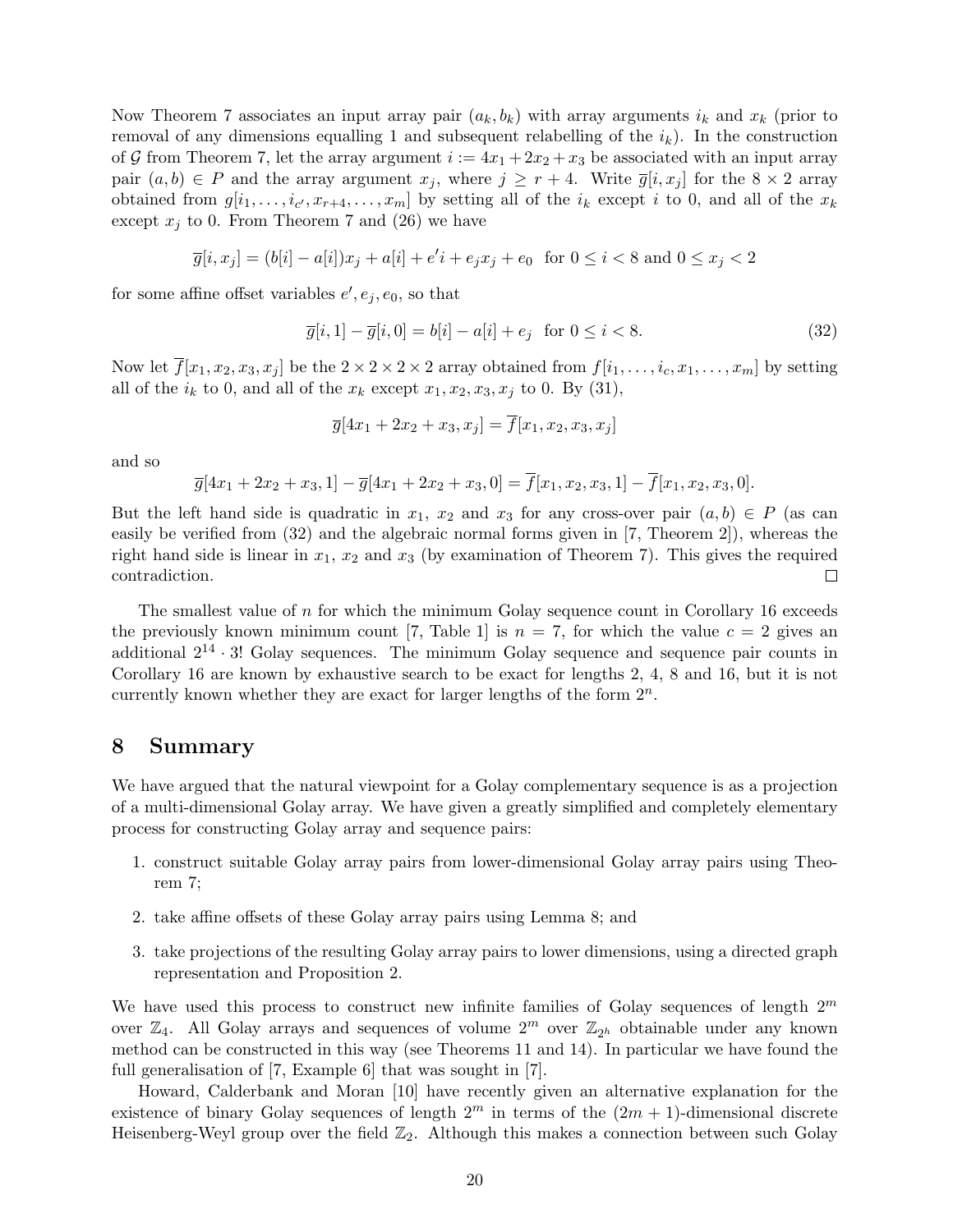Now Theorem 7 associates an input array pair  $(a_k, b_k)$  with array arguments  $i_k$  and  $x_k$  (prior to removal of any dimensions equalling 1 and subsequent relabelling of the  $i_k$ ). In the construction of G from Theorem 7, let the array argument  $i := 4x_1 + 2x_2 + x_3$  be associated with an input array pair  $(a, b) \in P$  and the array argument  $x_j$ , where  $j \geq r+4$ . Write  $\overline{g}[i, x_j]$  for the  $8 \times 2$  array obtained from  $g[i_1, \ldots, i_{c'}, x_{r+4}, \ldots, x_m]$  by setting all of the  $i_k$  except i to 0, and all of the  $x_k$ except  $x_i$  to 0. From Theorem 7 and (26) we have

$$
\overline{g}[i, x_j] = (b[i] - a[i])x_j + a[i] + e'i + e_jx_j + e_0 \text{ for } 0 \le i < 8 \text{ and } 0 \le x_j < 2
$$

for some affine offset variables  $e', e_j, e_0$ , so that

$$
\overline{g}[i,1] - \overline{g}[i,0] = b[i] - a[i] + e_j \text{ for } 0 \le i < 8.
$$
 (32)

Now let  $\overline{f}[x_1, x_2, x_3, x_j]$  be the  $2 \times 2 \times 2 \times 2$  array obtained from  $f[i_1, \ldots, i_c, x_1, \ldots, x_m]$  by setting all of the  $i_k$  to 0, and all of the  $x_k$  except  $x_1, x_2, x_3, x_j$  to 0. By (31),

$$
\overline{g}[4x_1 + 2x_2 + x_3, x_j] = \overline{f}[x_1, x_2, x_3, x_j]
$$

and so

$$
\overline{g}[4x_1 + 2x_2 + x_3, 1] - \overline{g}[4x_1 + 2x_2 + x_3, 0] = \overline{f}[x_1, x_2, x_3, 1] - \overline{f}[x_1, x_2, x_3, 0].
$$

But the left hand side is quadratic in  $x_1, x_2$  and  $x_3$  for any cross-over pair  $(a, b) \in P$  (as can easily be verified from (32) and the algebraic normal forms given in [7, Theorem 2]), whereas the right hand side is linear in  $x_1, x_2$  and  $x_3$  (by examination of Theorem 7). This gives the required contradiction.  $\Box$ 

The smallest value of  $n$  for which the minimum Golay sequence count in Corollary 16 exceeds the previously known minimum count [7, Table 1] is  $n = 7$ , for which the value  $c = 2$  gives an additional  $2^{14} \cdot 3!$  Golay sequences. The minimum Golay sequence and sequence pair counts in Corollary 16 are known by exhaustive search to be exact for lengths 2, 4, 8 and 16, but it is not currently known whether they are exact for larger lengths of the form  $2^n$ .

#### 8 Summary

We have argued that the natural viewpoint for a Golay complementary sequence is as a projection of a multi-dimensional Golay array. We have given a greatly simplified and completely elementary process for constructing Golay array and sequence pairs:

- 1. construct suitable Golay array pairs from lower-dimensional Golay array pairs using Theorem 7;
- 2. take affine offsets of these Golay array pairs using Lemma 8; and
- 3. take projections of the resulting Golay array pairs to lower dimensions, using a directed graph representation and Proposition 2.

We have used this process to construct new infinite families of Golay sequences of length  $2<sup>m</sup>$ over  $\mathbb{Z}_4$ . All Golay arrays and sequences of volume  $2^m$  over  $\mathbb{Z}_{2^h}$  obtainable under any known method can be constructed in this way (see Theorems 11 and 14). In particular we have found the full generalisation of [7, Example 6] that was sought in [7].

Howard, Calderbank and Moran [10] have recently given an alternative explanation for the existence of binary Golay sequences of length  $2^m$  in terms of the  $(2m + 1)$ -dimensional discrete Heisenberg-Weyl group over the field  $\mathbb{Z}_2$ . Although this makes a connection between such Golay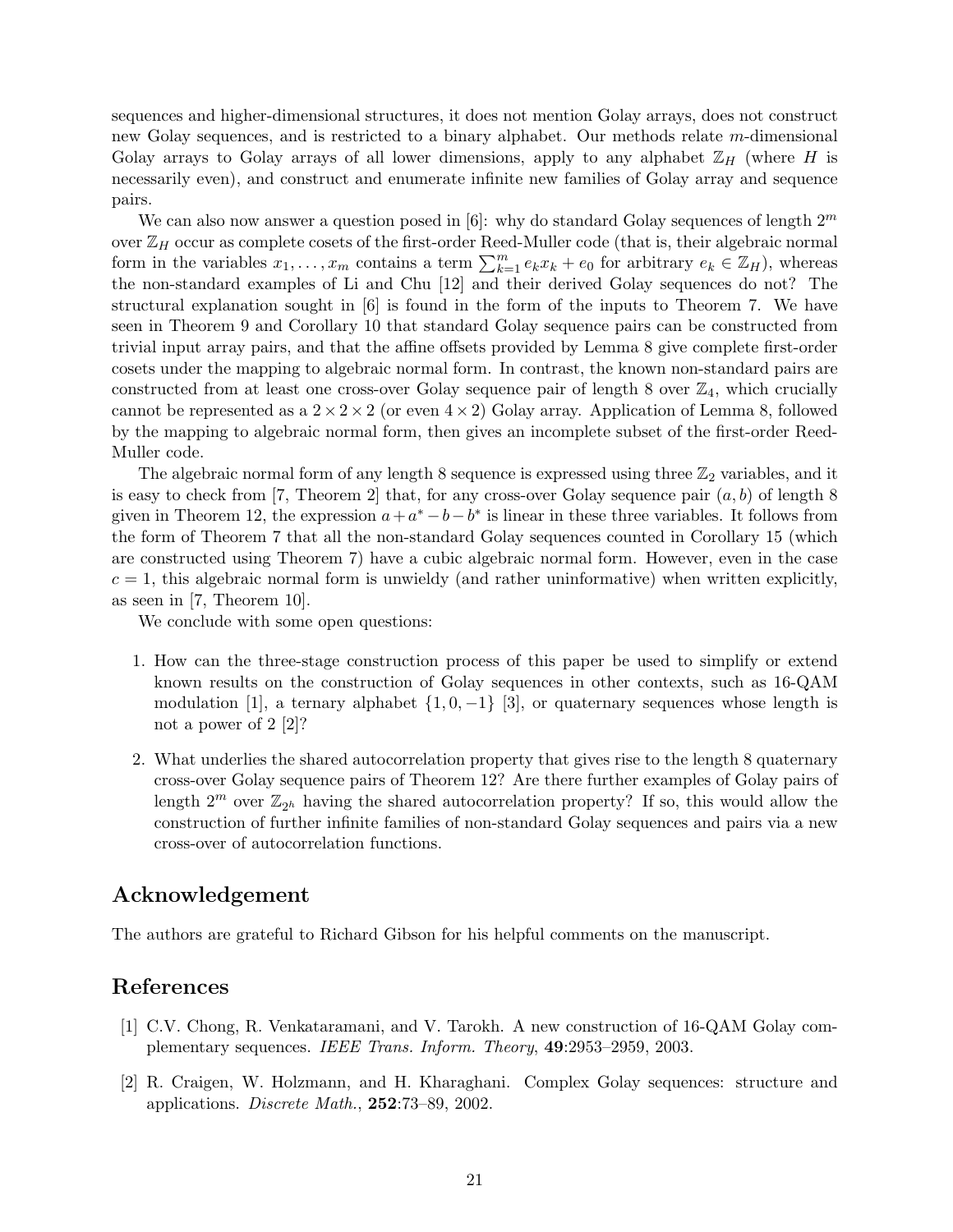sequences and higher-dimensional structures, it does not mention Golay arrays, does not construct new Golay sequences, and is restricted to a binary alphabet. Our methods relate m-dimensional Golay arrays to Golay arrays of all lower dimensions, apply to any alphabet  $\mathbb{Z}_H$  (where H is necessarily even), and construct and enumerate infinite new families of Golay array and sequence pairs.

We can also now answer a question posed in  $[6]$ : why do standard Golay sequences of length  $2^m$ over  $\mathbb{Z}_H$  occur as complete cosets of the first-order Reed-Muller code (that is, their algebraic normal form in the variables  $x_1, \ldots, x_m$  contains a term  $\sum_{k=1}^m e_k x_k + e_0$  for arbitrary  $e_k \in \mathbb{Z}_H$ ), whereas the non-standard examples of Li and Chu [12] and their derived Golay sequences do not? The structural explanation sought in [6] is found in the form of the inputs to Theorem 7. We have seen in Theorem 9 and Corollary 10 that standard Golay sequence pairs can be constructed from trivial input array pairs, and that the affine offsets provided by Lemma 8 give complete first-order cosets under the mapping to algebraic normal form. In contrast, the known non-standard pairs are constructed from at least one cross-over Golay sequence pair of length 8 over  $\mathbb{Z}_4$ , which crucially cannot be represented as a  $2 \times 2 \times 2$  (or even  $4 \times 2$ ) Golay array. Application of Lemma 8, followed by the mapping to algebraic normal form, then gives an incomplete subset of the first-order Reed-Muller code.

The algebraic normal form of any length 8 sequence is expressed using three  $\mathbb{Z}_2$  variables, and it is easy to check from [7, Theorem 2] that, for any cross-over Golay sequence pair  $(a, b)$  of length 8 given in Theorem 12, the expression  $a + a^* - b - b^*$  is linear in these three variables. It follows from the form of Theorem 7 that all the non-standard Golay sequences counted in Corollary 15 (which are constructed using Theorem 7) have a cubic algebraic normal form. However, even in the case  $c = 1$ , this algebraic normal form is unwieldy (and rather uninformative) when written explicitly, as seen in [7, Theorem 10].

We conclude with some open questions:

- 1. How can the three-stage construction process of this paper be used to simplify or extend known results on the construction of Golay sequences in other contexts, such as 16-QAM modulation [1], a ternary alphabet  $\{1, 0, -1\}$  [3], or quaternary sequences whose length is not a power of 2 [2]?
- 2. What underlies the shared autocorrelation property that gives rise to the length 8 quaternary cross-over Golay sequence pairs of Theorem 12? Are there further examples of Golay pairs of length  $2^m$  over  $\mathbb{Z}_{2^h}$  having the shared autocorrelation property? If so, this would allow the construction of further infinite families of non-standard Golay sequences and pairs via a new cross-over of autocorrelation functions.

#### Acknowledgement

The authors are grateful to Richard Gibson for his helpful comments on the manuscript.

#### References

- [1] C.V. Chong, R. Venkataramani, and V. Tarokh. A new construction of 16-QAM Golay complementary sequences. IEEE Trans. Inform. Theory, 49:2953–2959, 2003.
- [2] R. Craigen, W. Holzmann, and H. Kharaghani. Complex Golay sequences: structure and applications. Discrete Math., 252:73–89, 2002.